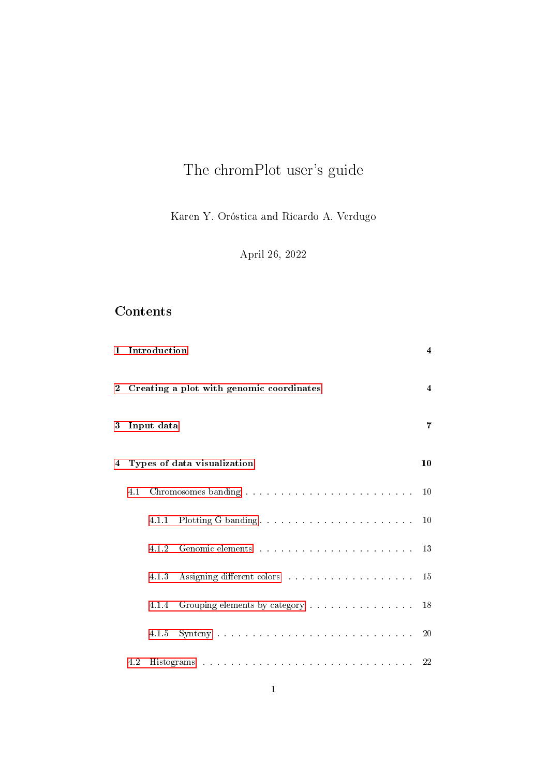# The chromPlot user's guide

Karen Y. Oróstica and Ricardo A. Verdugo

April 26, 2022

# Contents

|                |     | 1 Introduction |                                                                                                                                                                                                                               | $\overline{4}$ |
|----------------|-----|----------------|-------------------------------------------------------------------------------------------------------------------------------------------------------------------------------------------------------------------------------|----------------|
| $\overline{2}$ |     |                | Creating a plot with genomic coordinates                                                                                                                                                                                      | $\overline{4}$ |
| 3              |     | Input data     |                                                                                                                                                                                                                               | 7              |
| 4              |     |                | Types of data visualization                                                                                                                                                                                                   | 10             |
|                | 4.1 |                |                                                                                                                                                                                                                               | 10             |
|                |     | 4.1.1          |                                                                                                                                                                                                                               | 10             |
|                |     | 4.1.2          |                                                                                                                                                                                                                               |                |
|                |     | 4.1.3          | Assigning different colors and a series of the series of the series of the series of the series of the series of the series of the series of the series of the series of the series of the series of the series of the series | 15             |
|                |     | 4.1.4          | Grouping elements by category 18                                                                                                                                                                                              |                |
|                |     | 4.1.5          |                                                                                                                                                                                                                               | 20             |
|                | 4.2 |                |                                                                                                                                                                                                                               |                |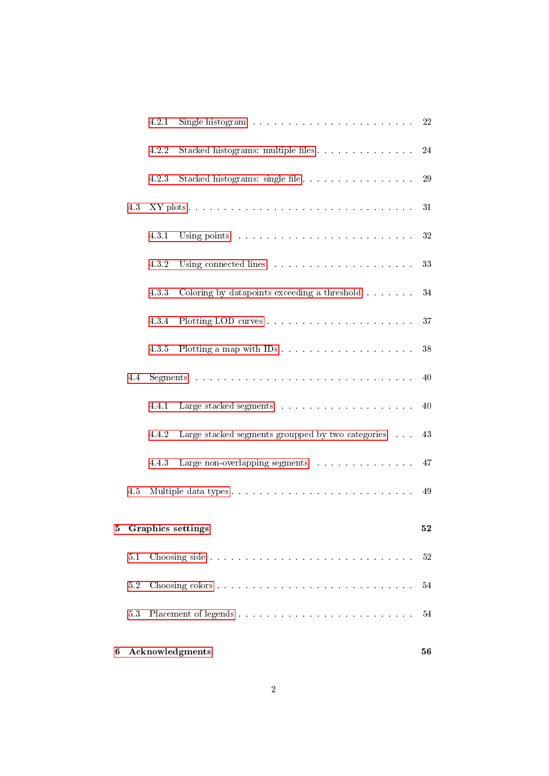| 6 |         |       | <b>Acknowledgments</b>                                                                                                                                                                                                         | 56 |
|---|---------|-------|--------------------------------------------------------------------------------------------------------------------------------------------------------------------------------------------------------------------------------|----|
|   | 5.3     |       |                                                                                                                                                                                                                                | 54 |
|   | $5.2\,$ |       |                                                                                                                                                                                                                                | 54 |
|   | 5.1     |       |                                                                                                                                                                                                                                | 52 |
|   |         |       | 5 Graphics settings                                                                                                                                                                                                            | 52 |
|   | 4.5     |       |                                                                                                                                                                                                                                | 49 |
|   |         | 4.4.3 | Large non-overlapping segments $\ldots$                                                                                                                                                                                        | 47 |
|   |         | 4.4.2 | Large stacked segments groupped by two categories                                                                                                                                                                              | 43 |
|   |         | 4.4.1 | Large stacked segments with a subsequent of the state of the state of the state of the state of the state of the state of the state of the state of the state of the state of the state of the state of the state of the state | 40 |
|   | 4.4     |       |                                                                                                                                                                                                                                | 40 |
|   |         | 4.3.5 |                                                                                                                                                                                                                                | 38 |
|   |         | 4.3.4 |                                                                                                                                                                                                                                | 37 |
|   |         | 4.3.3 | Coloring by datapoints exceeding a threshold                                                                                                                                                                                   | 34 |
|   |         | 4.3.2 | Using connected lines research and connected lines research and connected lines.                                                                                                                                               | 33 |
|   |         | 4.3.1 | Using points and a contract of the contract of the contract of the US and the Contract of the Contract of the Contract of the Contract of the Contract of the Contract of the Contract of the Contract of the Contract of the  | 32 |
|   | 4.3     |       |                                                                                                                                                                                                                                | 31 |
|   |         | 4.2.3 | Stacked histograms: single file                                                                                                                                                                                                | 29 |
|   |         | 4.2.2 | Stacked histograms: multiple files                                                                                                                                                                                             | 24 |
|   |         | 4.2.1 | Single histogram resources resources in the set of the 22                                                                                                                                                                      |    |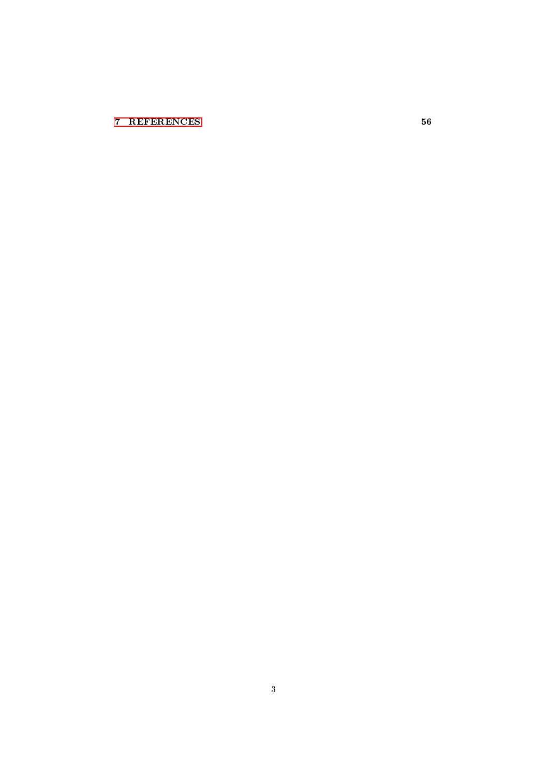# [7 REFERENCES](#page-55-1) 56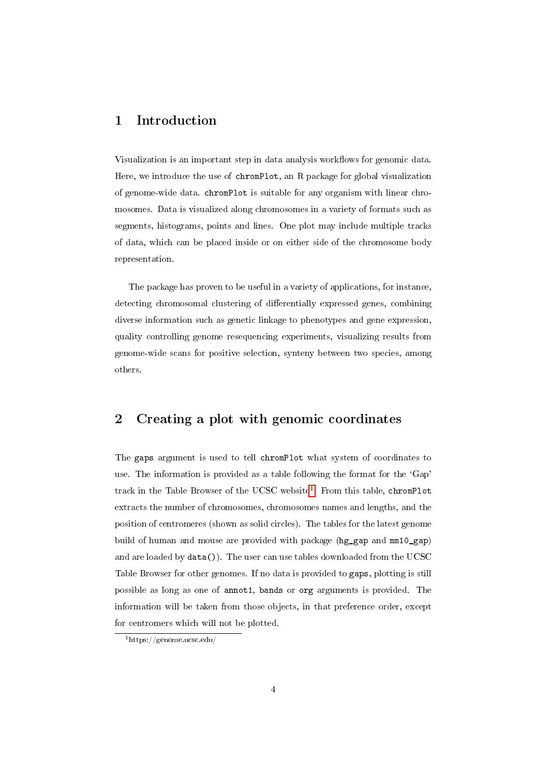# <span id="page-3-0"></span>1 Introduction

Visualization is an important step in data analysis workflows for genomic data. Here, we introduce the use of chromPlot, an R package for global visualization of genome-wide data. chromPlot is suitable for any organism with linear chromosomes. Data is visualized along chromosomes in a variety of formats such as segments, histograms, points and lines. One plot may include multiple tracks of data, which can be placed inside or on either side of the chromosome body representation.

The package has proven to be useful in a variety of applications, for instance, detecting chromosomal clustering of differentially expressed genes, combining diverse information such as genetic linkage to phenotypes and gene expression, quality controlling genome resequencing experiments, visualizing results from genome-wide scans for positive selection, synteny between two species, among others.

# <span id="page-3-1"></span>2 Creating a plot with genomic coordinates

The gaps argument is used to tell chromPlot what system of coordinates to use. The information is provided as a table following the format for the 'Gap' track in the Table Browser of the UCSC website<sup>[1](#page-3-2)</sup>. From this table, chromPlot extracts the number of chromosomes, chromosomes names and lengths, and the position of centromeres (shown as solid circles). The tables for the latest genome build of human and mouse are provided with package (hg\_gap and mm10\_gap) and are loaded by data()). The user can use tables downloaded from the UCSC Table Browser for other genomes. If no data is provided to gaps, plotting is still possible as long as one of annot1, bands or org arguments is provided. The information will be taken from those objects, in that preference order, except for centromers which will not be plotted.

<span id="page-3-2"></span><sup>1</sup>https://genome.ucsc.edu/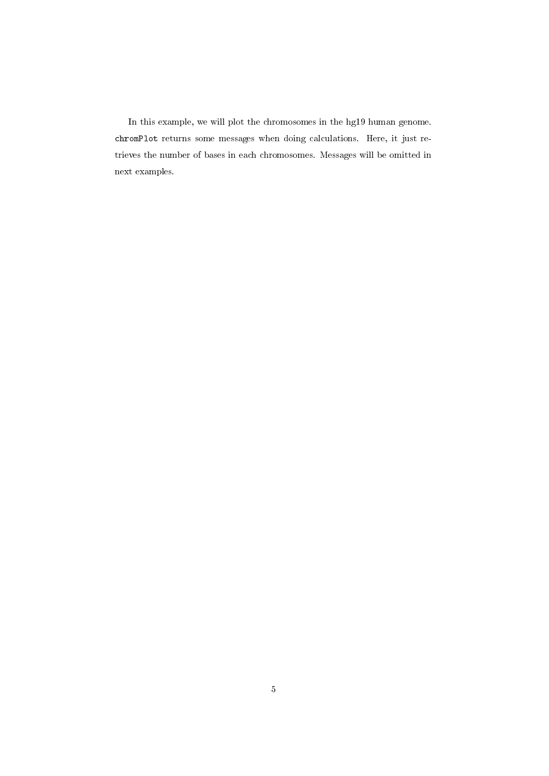In this example, we will plot the chromosomes in the hg19 human genome. chromPlot returns some messages when doing calculations. Here, it just retrieves the number of bases in each chromosomes. Messages will be omitted in next examples.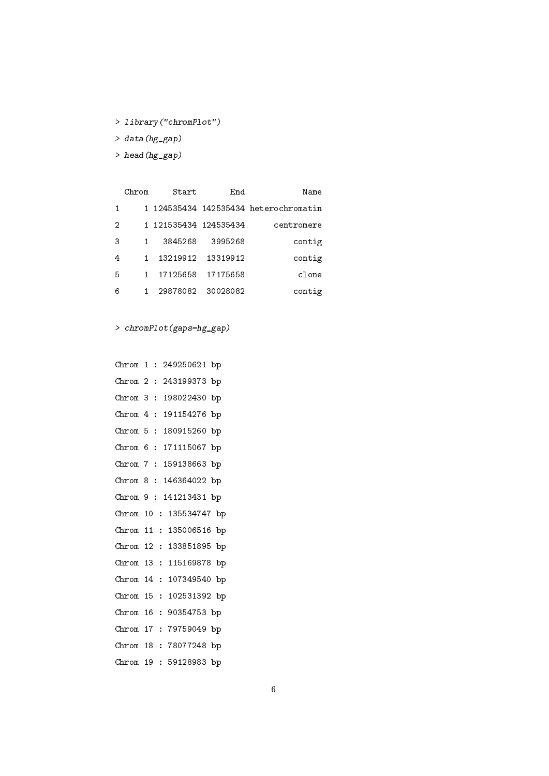- > library("chromPlot")
- > data(hg\_gap)
- > head(hg\_gap)

| Name                                | End      | Start                 | Chrom |   |
|-------------------------------------|----------|-----------------------|-------|---|
| 124535434 142535434 heterochromatin |          |                       | 1.    |   |
| centromere                          |          | 1 121535434 124535434 |       | 2 |
| contig                              | 3995268  | 3845268               |       | З |
| contig                              | 13319912 | 13219912              |       | 4 |
| clone                               | 17175658 | 17125658              |       | 5 |
| contig                              | 30028082 | 29878082              |       | 6 |

> chromPlot(gaps=hg\_gap)

Chrom 1 : 249250621 bp Chrom 2 : 243199373 bp Chrom 3 : 198022430 bp Chrom 4 : 191154276 bp Chrom 5 : 180915260 bp Chrom 6 : 171115067 bp Chrom 7 : 159138663 bp Chrom 8 : 146364022 bp Chrom 9 : 141213431 bp Chrom 10 : 135534747 bp Chrom 11 : 135006516 bp Chrom 12 : 133851895 bp Chrom 13 : 115169878 bp Chrom 14 : 107349540 bp Chrom 15 : 102531392 bp Chrom 16 : 90354753 bp Chrom 17 : 79759049 bp Chrom 18 : 78077248 bp Chrom 19 : 59128983 bp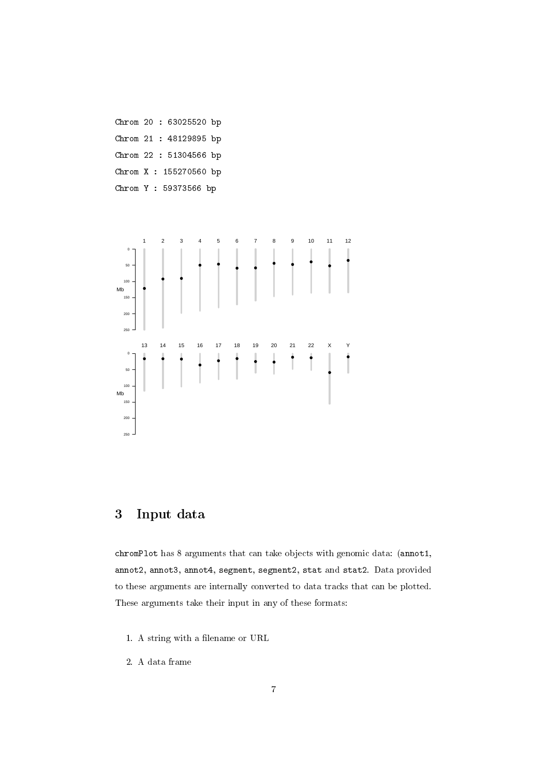Chrom 20 : 63025520 bp Chrom 21 : 48129895 bp Chrom 22 : 51304566 bp Chrom X : 155270560 bp Chrom Y : 59373566 bp



# <span id="page-6-0"></span>3 Input data

chromPlot has 8 arguments that can take objects with genomic data: (annot1, annot2, annot3, annot4, segment, segment2, stat and stat2. Data provided to these arguments are internally converted to data tracks that can be plotted. These arguments take their input in any of these formats:

- 1. A string with a filename or URL
- 2. A data frame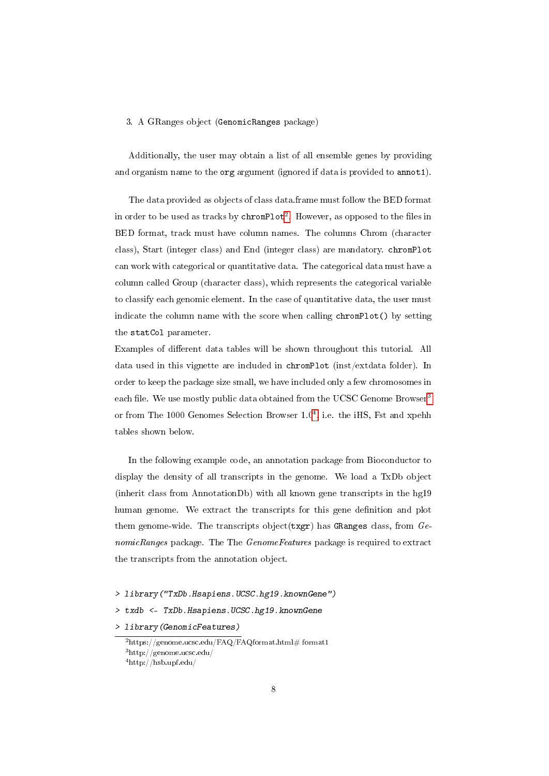#### 3. A GRanges object (GenomicRanges package)

Additionally, the user may obtain a list of all ensemble genes by providing and organism name to the org argument (ignored if data is provided to annot1).

The data provided as objects of class data.frame must follow the BED format in order to be used as tracks by  ${\tt chromPlot}^2$  ${\tt chromPlot}^2$ . However, as opposed to the files in BED format, track must have column names. The columns Chrom (character class), Start (integer class) and End (integer class) are mandatory. chromPlot can work with categorical or quantitative data. The categorical data must have a column called Group (character class), which represents the categorical variable to classify each genomic element. In the case of quantitative data, the user must indicate the column name with the score when calling chromPlot() by setting the statCol parameter.

Examples of different data tables will be shown throughout this tutorial. All data used in this vignette are included in chromPlot (inst/extdata folder). In order to keep the package size small, we have included only a few chromosomes in each file. We use mostly public data obtained from the UCSC Genome Browser<sup>[3](#page-7-1)</sup> or from The 1000 Genomes Selection Browser 1.0<sup>[4](#page-7-2)</sup>, i.e. the iHS, Fst and xpehh tables shown below.

In the following example code, an annotation package from Bioconductor to display the density of all transcripts in the genome. We load a TxDb object (inherit class from AnnotationDb) with all known gene transcripts in the hg19 human genome. We extract the transcripts for this gene definition and plot them genome-wide. The transcripts object  $(txgr)$  has GRanges class, from  $Ge$ nomicRanges package. The The GenomeFeatures package is required to extract the transcripts from the annotation object.

- > library("TxDb.Hsapiens.UCSC.hg19.knownGene")
- > txdb <- TxDb.Hsapiens.UCSC.hg19.knownGene
- > library(GenomicFeatures)

<span id="page-7-1"></span><span id="page-7-0"></span> $^{2}$ https://genome.ucsc.edu/FAQ/FAQformat.html# format1

<span id="page-7-2"></span><sup>3</sup>http://genome.ucsc.edu/

<sup>4</sup>http://hsb.upf.edu/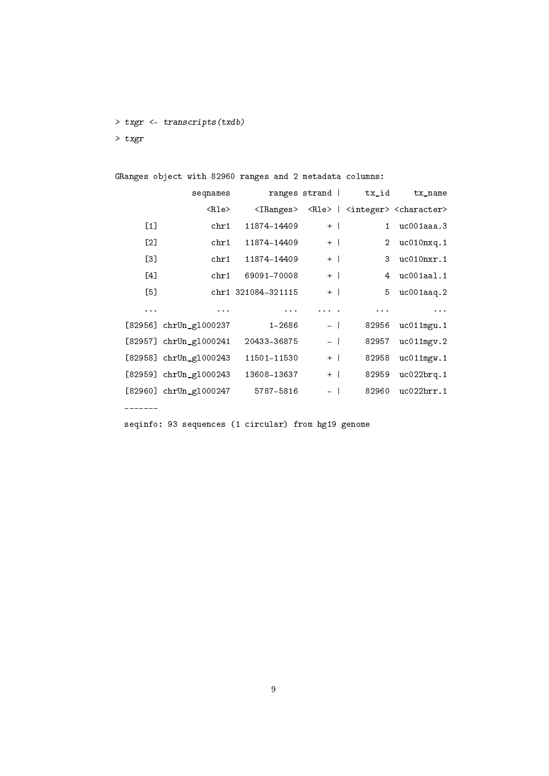> txgr <- transcripts(txdb)

> txgr

|                   | GRanges object with 82960 ranges and 2 metadata columns: |                    |                                                                                                                 |                       |                                                                               |
|-------------------|----------------------------------------------------------|--------------------|-----------------------------------------------------------------------------------------------------------------|-----------------------|-------------------------------------------------------------------------------|
|                   | seqnames                                                 |                    |                                                                                                                 | ranges strand   tx_id | tx name                                                                       |
|                   | $ R\rangle$                                              |                    |                                                                                                                 |                       | <iranges> <rle>   <integer> <character></character></integer></rle></iranges> |
| $\lceil 1 \rceil$ | chr1                                                     | 11874-14409        | $+$                                                                                                             | $\mathbf{1}$          | $uc001$ aaa. $3$                                                              |
| $\lceil 2 \rceil$ | chr1                                                     | 11874-14409        | $+$                                                                                                             | $\overline{2}$        | uc010nxq.1                                                                    |
| [3]               | chr1                                                     | 11874-14409        | $+$                                                                                                             | 3                     | uc010nxr.1                                                                    |
| [4]               | chr1                                                     | 69091-70008        | $+$                                                                                                             | 4                     | uc001aa1.1                                                                    |
| [5]               |                                                          | chr1 321084-321115 | $+$ $\perp$                                                                                                     | 5                     | $uc001$ aaq.2                                                                 |
| $\cdots$          | $\cdots$                                                 | $\cdots$           | $\begin{array}{cccccccccccccc} \bullet & \bullet & \bullet & \bullet & \bullet & \bullet & \bullet \end{array}$ | $\cdots$              | $\cdots$                                                                      |
|                   | [82956] $chrUn_g1000237$                                 | $1 - 2686$         | $\sim$                                                                                                          | 82956                 | $uc011$ mgu. 1                                                                |
|                   | $[82957]$ chrUn_g1000241                                 | 20433-36875        | $ \ $                                                                                                           | 82957                 | uc011mgv.2                                                                    |
|                   | [82958] chrUn_g1000243                                   | 11501-11530        | $+$                                                                                                             | 82958                 | $uc011$ mgw.1                                                                 |
|                   | $[82959]$ chrUn_g1000243                                 | 13608-13637        | $+$                                                                                                             | 82959                 | uc022brq.1                                                                    |
|                   | [82960] $chrUn_g1000247$                                 | 5787-5816          |                                                                                                                 | 82960                 | uc022brr.1                                                                    |

-------

seqinfo: 93 sequences (1 circular) from hg19 genome

9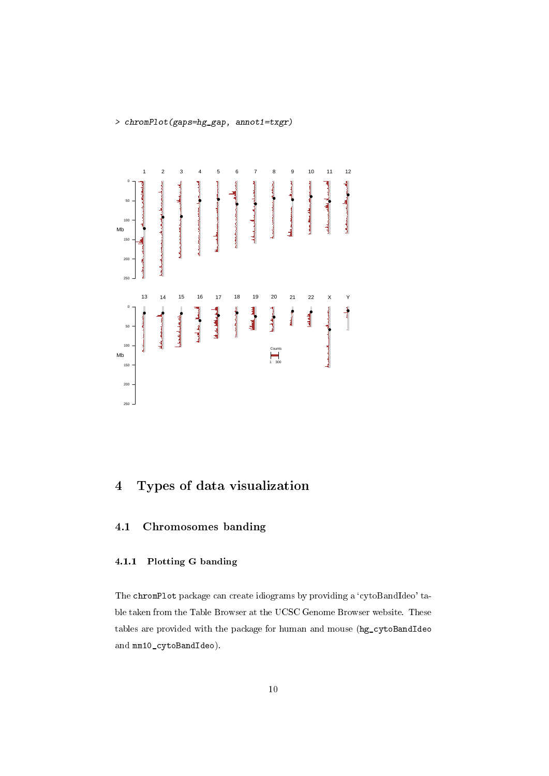> chromPlot(gaps=hg\_gap, annot1=txgr)



# <span id="page-9-0"></span>4 Types of data visualization

# <span id="page-9-2"></span><span id="page-9-1"></span>4.1 Chromosomes banding

# 4.1.1 Plotting G banding

The chromPlot package can create idiograms by providing a 'cytoBandIdeo' table taken from the Table Browser at the UCSC Genome Browser website. These tables are provided with the package for human and mouse (hg\_cytoBandIdeo and mm10\_cytoBandIdeo).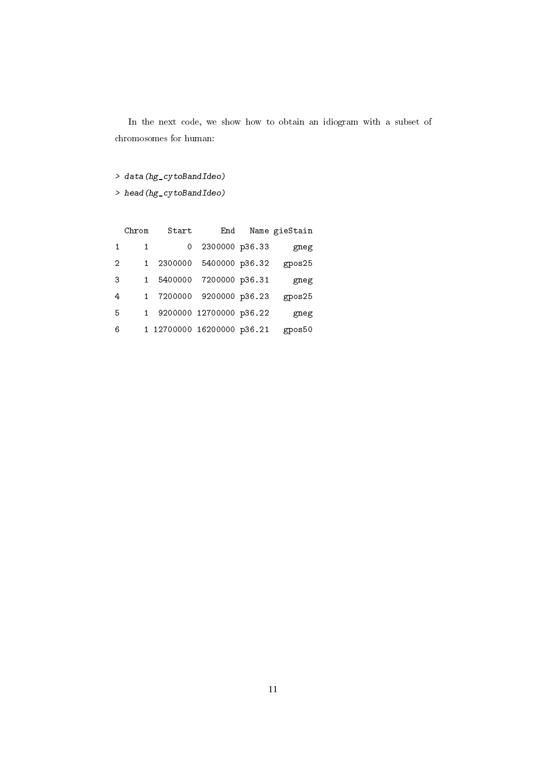In the next code, we show how to obtain an idiogram with a subset of chromosomes for human:

> data(hg\_cytoBandIdeo)

> head(hg\_cytoBandIdeo)

| Name gieStain | End                        | Start   | Chrom |   |
|---------------|----------------------------|---------|-------|---|
| gneg          | 2300000 p36.33             | 0       | 1     | 1 |
| gpos25        | 2300000 5400000 p36.32     |         |       | 2 |
| gneg          | 7200000 p36.31             | 5400000 |       | З |
| gpos25        | 7200000 9200000 p36.23     |         |       | 4 |
| gneg          | 9200000 12700000 p36.22    |         |       | 5 |
| gpos50        | 1 12700000 16200000 p36.21 |         |       | 6 |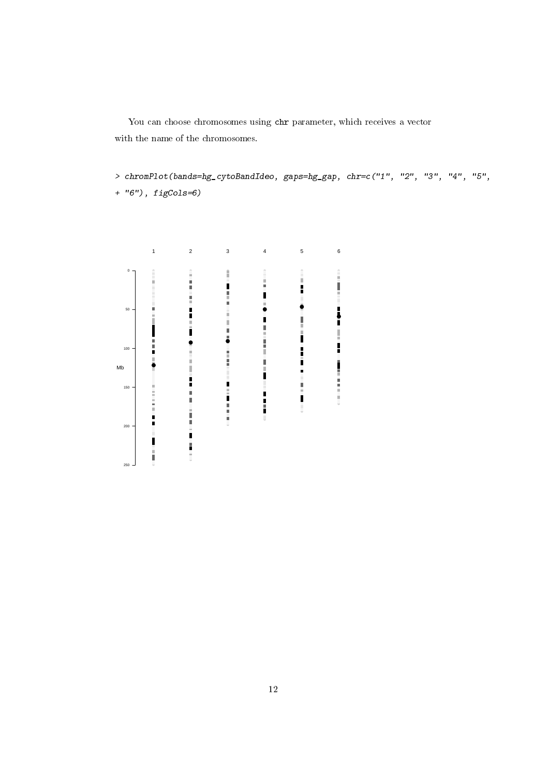You can choose chromosomes using chr parameter, which receives a vector with the name of the chromosomes.

> chromPlot(bands=hg\_cytoBandIdeo, gaps=hg\_gap, chr=c("1", "2", "3", "4", "5",

+ "6"), figCols=6)

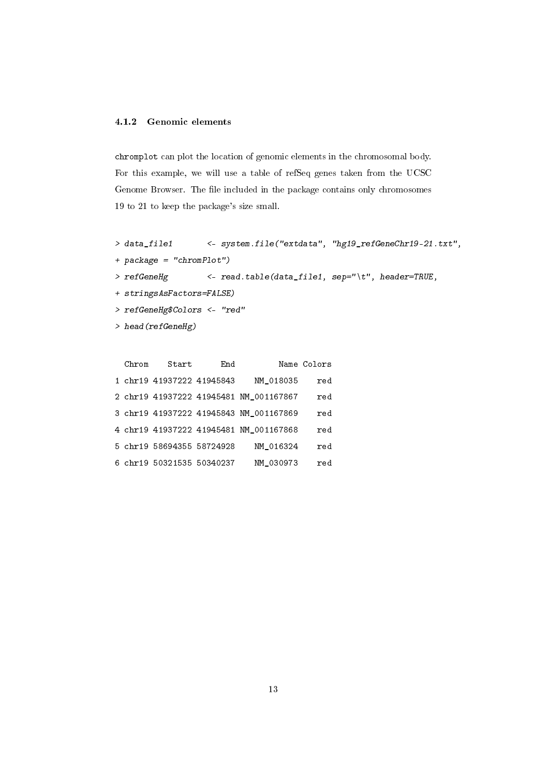#### <span id="page-12-0"></span>4.1.2 Genomic elements

chromplot can plot the location of genomic elements in the chromosomal body. For this example, we will use a table of refSeq genes taken from the UCSC Genome Browser. The file included in the package contains only chromosomes 19 to 21 to keep the package's size small.

```
> data_file1 <- system.file("extdata", "hg19_refGeneChr19-21.txt",
```
- + package = "chromPlot")
- > refGeneHg <- read.table(data\_file1, sep="\t", header=TRUE,
- + stringsAsFactors=FALSE)
- > refGeneHg\$Colors <- "red"
- > head(refGeneHg)

| Name Colors  |                                        | End | Start                     | Chrom |  |
|--------------|----------------------------------------|-----|---------------------------|-------|--|
| $_{\rm red}$ | NM 018035                              |     | 1 chr19 41937222 41945843 |       |  |
| $_{\rm red}$ | 2 chr19 41937222 41945481 NM 001167867 |     |                           |       |  |
| $_{\rm red}$ | 3 chr19 41937222 41945843 NM_001167869 |     |                           |       |  |
| $_{\rm red}$ | 4 chr19 41937222 41945481 NM_001167868 |     |                           |       |  |
| $_{\rm red}$ | NM 016324                              |     | 5 chr19 58694355 58724928 |       |  |
| $_{\rm red}$ | NM 030973                              |     | 6 chr19 50321535 50340237 |       |  |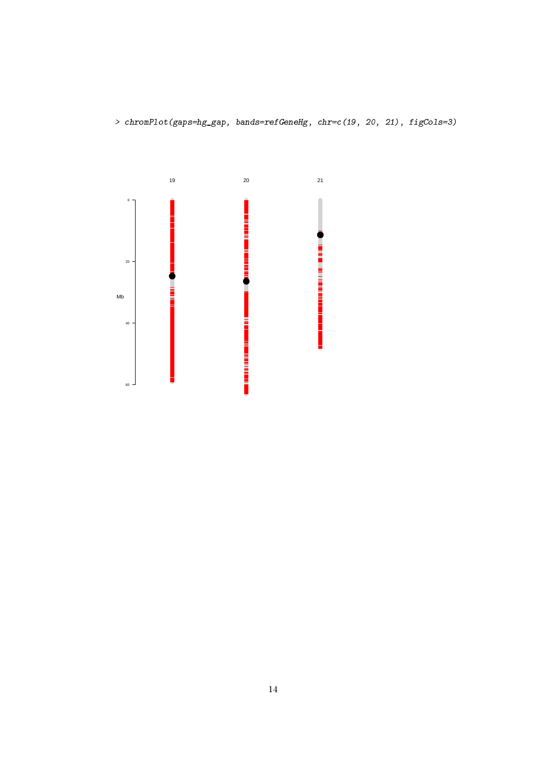> chromPlot(gaps=hg\_gap, bands=refGeneHg, chr=c(19, 20, 21), figCols=3)

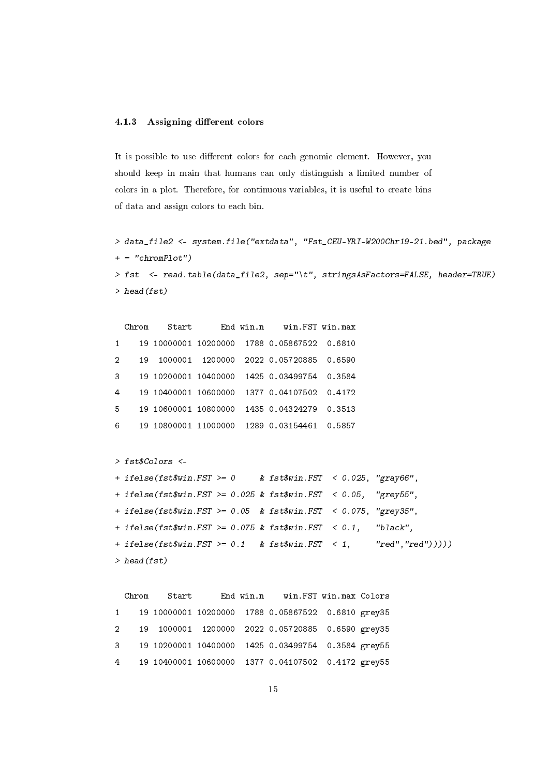### <span id="page-14-0"></span>4.1.3 Assigning different colors

It is possible to use different colors for each genomic element. However, you should keep in main that humans can only distinguish a limited number of colors in a plot. Therefore, for continuous variables, it is useful to create bins of data and assign colors to each bin.

```
> data_file2 <- system.file("extdata", "Fst_CEU-YRI-W200Chr19-21.bed", package
+ = "chromPlot")> fst <- read.table(data_file2, sep="\t", stringsAsFactors=FALSE, header=TRUE)
> head(fst)
```

|                | Chrom | Start                |         | End win.n | win.FST win.max        |        |
|----------------|-------|----------------------|---------|-----------|------------------------|--------|
| $\mathbf{1}$   |       | 19 10000001 10200000 |         |           | 1788 0.05867522 0.6810 |        |
| 2              | 19    | 1000001              | 1200000 |           | 2022 0.05720885        | 0.6590 |
| 3              |       | 19 10200001 10400000 |         |           | 1425 0.03499754        | 0.3584 |
| $\overline{4}$ |       | 19 10400001 10600000 |         |           | 1377 0.04107502        | 0.4172 |
| 5              |       | 19 10600001 10800000 |         |           | 1435 0.04324279        | 0.3513 |
| 6              |       | 19 10800001 11000000 |         |           | 1289 0.03154461        | 0.5857 |

```
> fst$Colors <-
```

```
+ ifelse(fst$win.FST >= 0 & fst$win.FST < 0.025, "gray66",
+ ifelse(fst$win.FST >= 0.025 & fst$win.FST < 0.05, "grey55",
+ ifelse(fst$win.FST >= 0.05 & fst$win.FST < 0.075, "grey35",
+ ifelse(fst$win.FST >= 0.075 & fst$win.FST < 0.1, "black",
+ ifelse(fst$win.FST >= 0.1 & fst$win.FST < 1, "red","red")))))
> head(fst)
```

|  | Chrom Start End win.n win.FST win.max Colors         |  |  |  |
|--|------------------------------------------------------|--|--|--|
|  | 1 19 10000001 10200000 1788 0.05867522 0.6810 grey35 |  |  |  |
|  | 2 19 1000001 1200000 2022 0.05720885 0.6590 grey35   |  |  |  |
|  | 3 19 10200001 10400000 1425 0.03499754 0.3584 grey55 |  |  |  |
|  | 4 19 10400001 10600000 1377 0.04107502 0.4172 grey55 |  |  |  |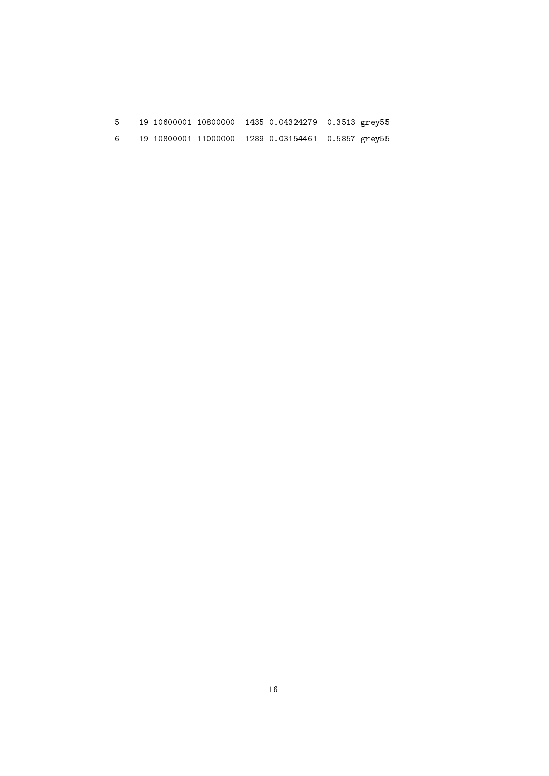| 5. |  | 19 10600001 10800000 1435 0.04324279 0.3513 grey55 |  |
|----|--|----------------------------------------------------|--|
| 6  |  | 19 10800001 11000000 1289 0.03154461 0.5857 grey55 |  |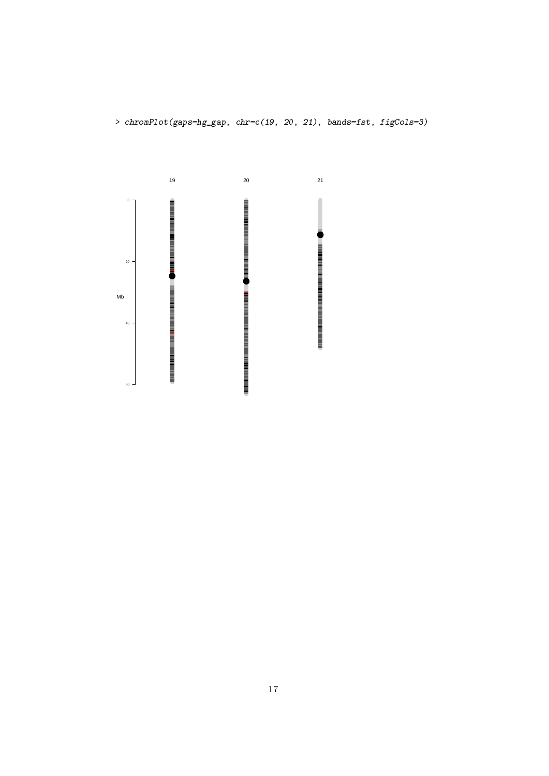> chromPlot(gaps=hg\_gap, chr=c(19, 20, 21), bands=fst, figCols=3)

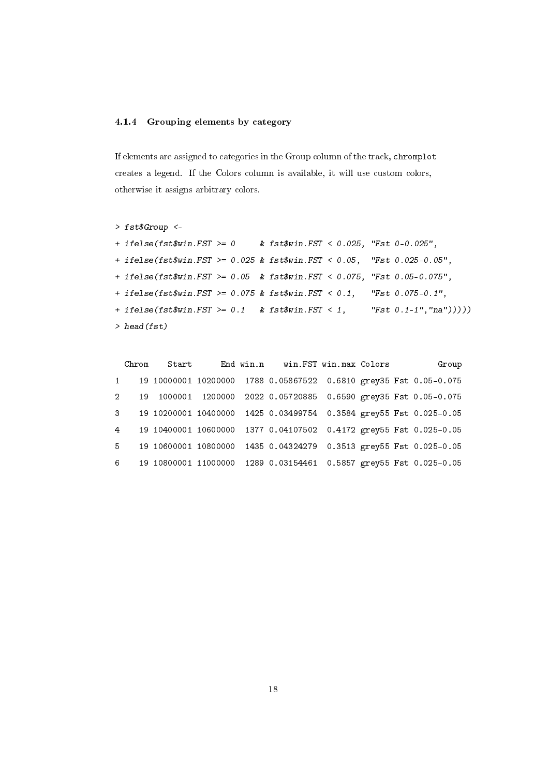## <span id="page-17-0"></span>4.1.4 Grouping elements by category

If elements are assigned to categories in the Group column of the track, chromplot creates a legend. If the Colors column is available, it will use custom colors, otherwise it assigns arbitrary colors.

```
> fst$Group <-
+ ifelse(fst$win.FST >= 0 & fst$win.FST < 0.025, "Fst 0-0.025",
+ ifelse(fst$win.FST >= 0.025 & fst$win.FST < 0.05, "Fst 0.025-0.05",
+ ifelse(fst$win.FST >= 0.05 & fst$win.FST < 0.075, "Fst 0.05-0.075",
+ ifelse(fst$win.FST >= 0.075 & fst$win.FST < 0.1, "Fst 0.075-0.1",
+ ifelse(fst$win.FST >= 0.1 & fst$win.FST < 1, "Fst 0.1-1", "na")))))
> head(fst)
```

| Group                                                             |  | End win.n win.FST win.max Colors |  | Start | Chrom          |               |
|-------------------------------------------------------------------|--|----------------------------------|--|-------|----------------|---------------|
| 19 10000001 10200000 1788 0.05867522 0.6810 grey35 Fst 0.05-0.075 |  |                                  |  |       |                | $1 -$         |
| 1000001 1200000 2022 0.05720885 0.6590 grey35 Fst 0.05-0.075      |  |                                  |  |       | 19             | $\mathcal{D}$ |
| 19 10200001 10400000 1425 0.03499754 0.3584 grey55 Fst 0.025-0.05 |  |                                  |  |       |                | $\mathbf{3}$  |
| 19 10400001 10600000 1377 0.04107502 0.4172 grey55 Fst 0.025-0.05 |  |                                  |  |       | $\overline{4}$ |               |
| 19 10600001 10800000 1435 0.04324279 0.3513 grey55 Fst 0.025-0.05 |  |                                  |  |       |                | $5 -$         |
| 19 10800001 11000000 1289 0.03154461 0.5857 grey55 Fst 0.025-0.05 |  |                                  |  |       |                | 6             |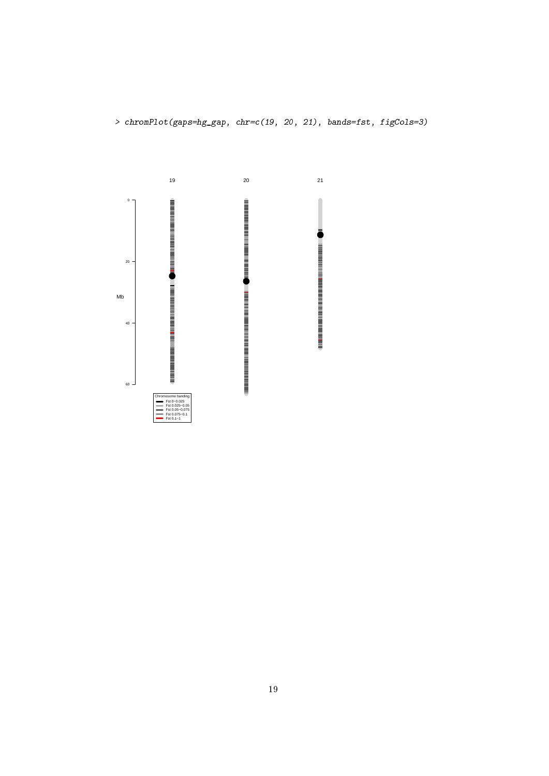

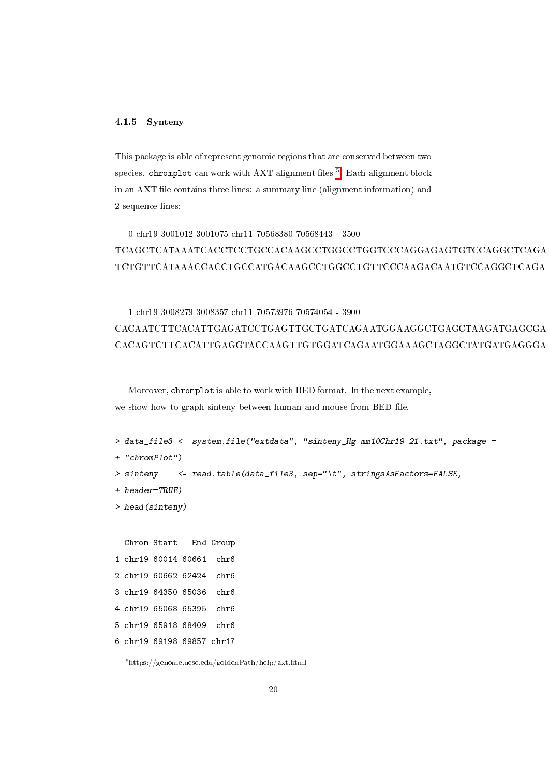#### <span id="page-19-0"></span>4.1.5 Synteny

This package is able of represent genomic regions that are conserved between two species. chromplot can work with  $AXT$  alignment files  $5$ . Each alignment block in an AXT file contains three lines: a summary line (alignment information) and 2 sequence lines:

# 0 chr19 3001012 3001075 chr11 70568380 70568443 - 3500 TCAGCTCATAAATCACCTCCTGCCACAAGCCTGGCCTGGTCCCAGGAGAGTGTCCAGGCTCAGA TCTGTTCATAAACCACCTGCCATGACAAGCCTGGCCTGTTCCCAAGACAATGTCCAGGCTCAGA

# 1 chr19 3008279 3008357 chr11 70573976 70574054 - 3900 CACAATCTTCACATTGAGATCCTGAGTTGCTGATCAGAATGGAAGGCTGAGCTAAGATGAGCGA CACAGTCTTCACATTGAGGTACCAAGTTGTGGATCAGAATGGAAAGCTAGGCTATGATGAGGGA

Moreover, chromplot is able to work with BED format. In the next example, we show how to graph sinteny between human and mouse from BED file.

```
> data_file3 <- system.file("extdata", "sinteny_Hg-mm10Chr19-21.txt", package =
+ "chromPlot")
> sinteny <- read.table(data_file3, sep="\t", stringsAsFactors=FALSE,
+ header=TRUE)
> head(sinteny)
 Chrom Start End Group
1 chr19 60014 60661 chr6
2 chr19 60662 62424 chr6
3 chr19 64350 65036 chr6
4 chr19 65068 65395 chr6
5 chr19 65918 68409 chr6
6 chr19 69198 69857 chr17
```
<span id="page-19-1"></span> $5$ https://genome.ucsc.edu/goldenPath/help/axt.html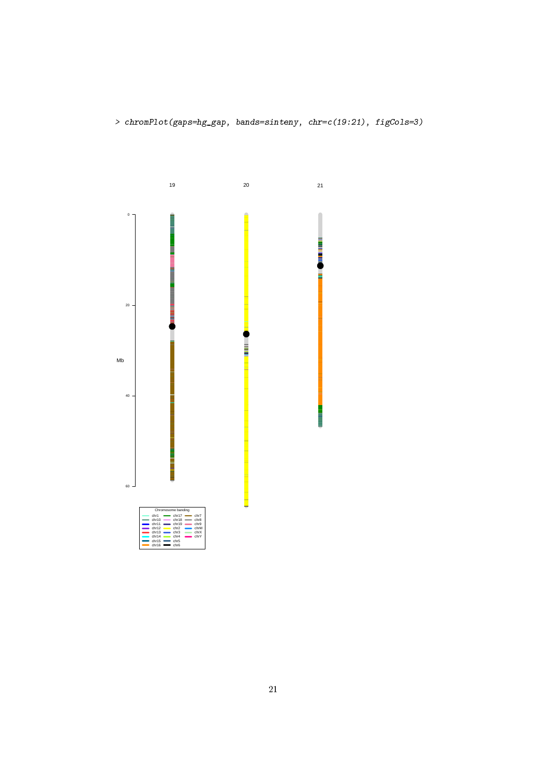> chromPlot(gaps=hg\_gap, bands=sinteny, chr=c(19:21), figCols=3)

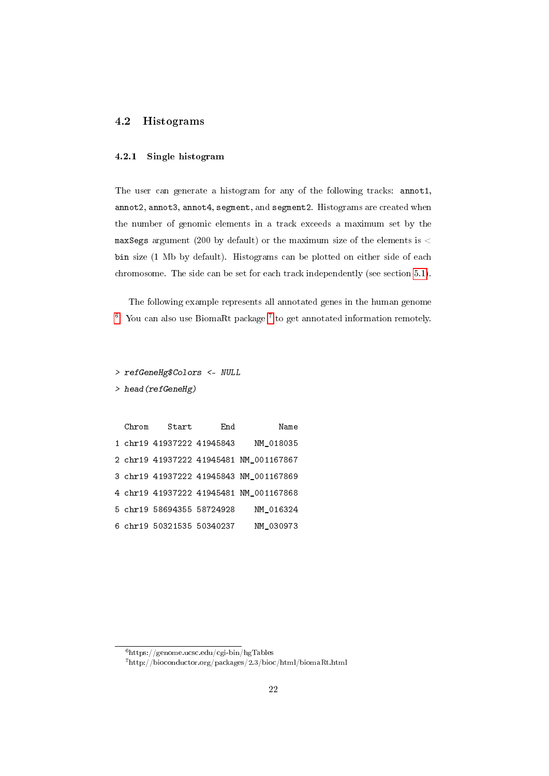# <span id="page-21-1"></span><span id="page-21-0"></span>4.2 Histograms

# 4.2.1 Single histogram

The user can generate a histogram for any of the following tracks: annot1, annot2, annot3, annot4, segment, and segment2. Histograms are created when the number of genomic elements in a track exceeds a maximum set by the maxSegs argument (200 by default) or the maximum size of the elements is  $\lt$ bin size (1 Mb by default). Histograms can be plotted on either side of each chromosome. The side can be set for each track independently (see section [5.1\)](#page-51-1).

The following example represents all annotated genes in the human genome  $6$ . You can also use BiomaRt package<sup>[7](#page-21-3)</sup> to get annotated information remotely.

> refGeneHg\$Colors <- NULL

> head(refGeneHg)

| Chrom | Start                     | End | Name                                   |
|-------|---------------------------|-----|----------------------------------------|
|       | 1 chr19 41937222 41945843 |     | NM 018035                              |
|       |                           |     | 2 chr19 41937222 41945481 NM 001167867 |
|       |                           |     | 3 chr19 41937222 41945843 NM_001167869 |
|       |                           |     | 4 chr19 41937222 41945481 NM_001167868 |
|       | 5 chr19 58694355 58724928 |     | NM 016324                              |
|       | 6 chr19 50321535 50340237 |     | NM 030973                              |

<span id="page-21-3"></span><span id="page-21-2"></span> $6$ https://genome.ucsc.edu/cgi-bin/hgTables

<sup>7</sup>http://bioconductor.org/packages/2.3/bioc/html/biomaRt.html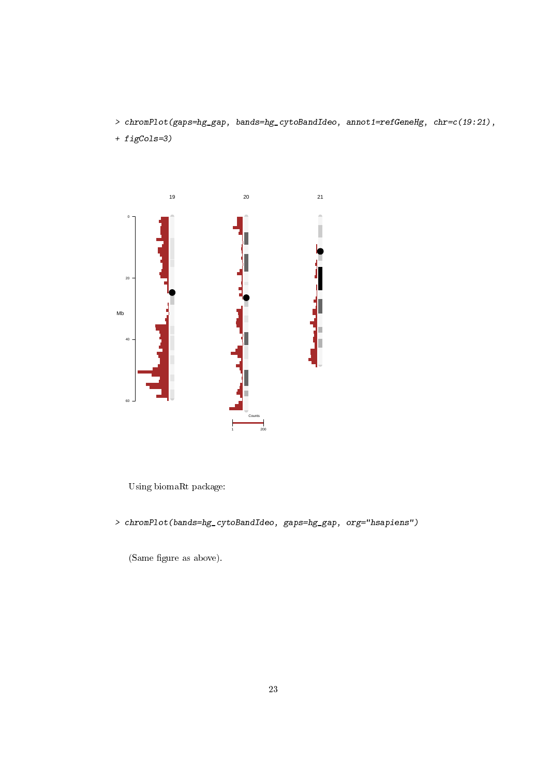- > chromPlot(gaps=hg\_gap, bands=hg\_cytoBandIdeo, annot1=refGeneHg, chr=c(19:21),
- + figCols=3)



Using biomaRt package:

> chromPlot(bands=hg\_cytoBandIdeo, gaps=hg\_gap, org="hsapiens")

(Same figure as above).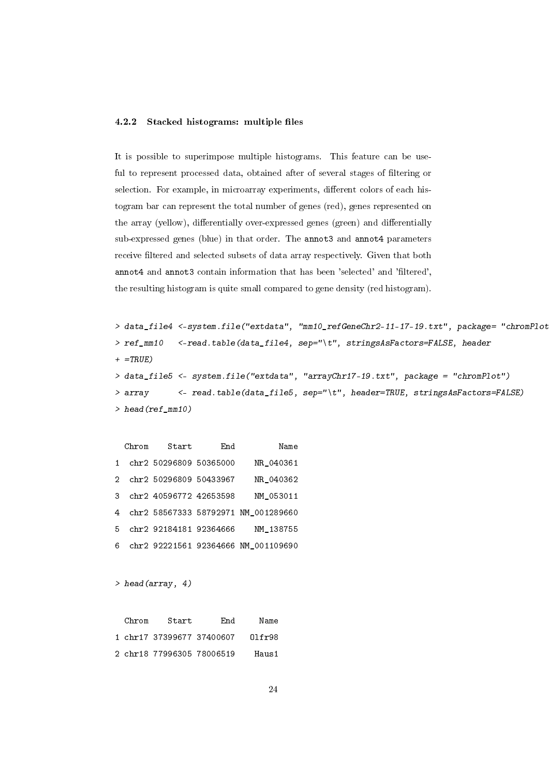## <span id="page-23-0"></span>4.2.2 Stacked histograms: multiple files

It is possible to superimpose multiple histograms. This feature can be useful to represent processed data, obtained after of several stages of filtering or selection. For example, in microarray experiments, different colors of each histogram bar can represent the total number of genes (red), genes represented on the array (yellow), differentially over-expressed genes (green) and differentially sub-expressed genes (blue) in that order. The annot3 and annot4 parameters receive filtered and selected subsets of data array respectively. Given that both annot4 and annot3 contain information that has been 'selected' and 'filtered', the resulting histogram is quite small compared to gene density (red histogram).

```
> data_file4 <-system.file("extdata", "mm10_refGeneChr2-11-17-19.txt", package= "chromPlot")
> ref_mm10 <-read.table(data_file4, sep="\t", stringsAsFactors=FALSE, header
+ =TRUE)
> data_file5 <- system.file("extdata", "arrayChr17-19.txt", package = "chromPlot")
> array <- read.table(data_file5, sep="\t", header=TRUE, stringsAsFactors=FALSE)
> head(ref_mm10)
```

|    | Chrom | Start                    | End | Name                                |
|----|-------|--------------------------|-----|-------------------------------------|
|    |       | chr2 50296809 50365000   |     | NR 040361                           |
|    |       | 2 chr2 50296809 50433967 |     | NR 040362                           |
|    |       | 3 chr2 40596772 42653598 |     | NM 053011                           |
| 4  |       |                          |     | chr2 58567333 58792971 NM_001289660 |
| 5. |       | chr2 92184181 92364666   |     | NM 138755                           |
| 6. |       |                          |     | chr2 92221561 92364666 NM 001109690 |

```
> head(array, 4)
```

| Chrom | Start                     | End                       | Name         |
|-------|---------------------------|---------------------------|--------------|
|       |                           | 1 chr17 37399677 37400607 | $01$ fr $98$ |
|       | 2 chr18 77996305 78006519 |                           | Haus1        |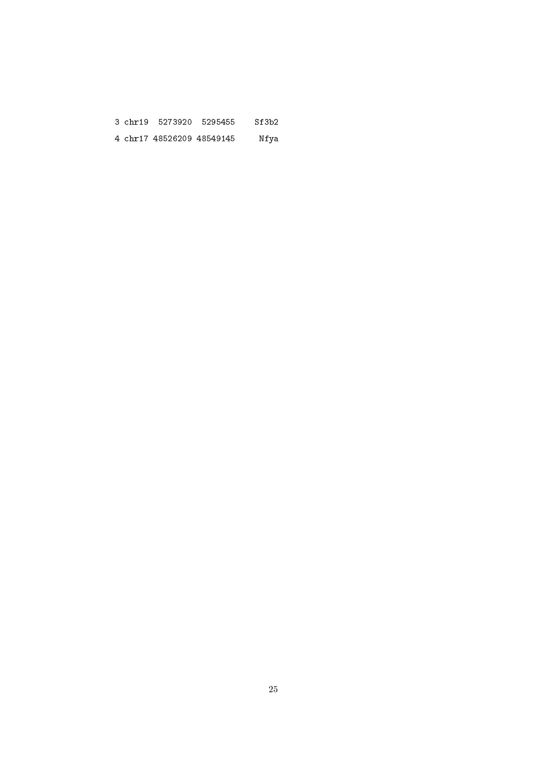|  | 3 chr19 5273920 5295455   | Sf3b2 |
|--|---------------------------|-------|
|  | 4 chr17 48526209 48549145 | Nfya  |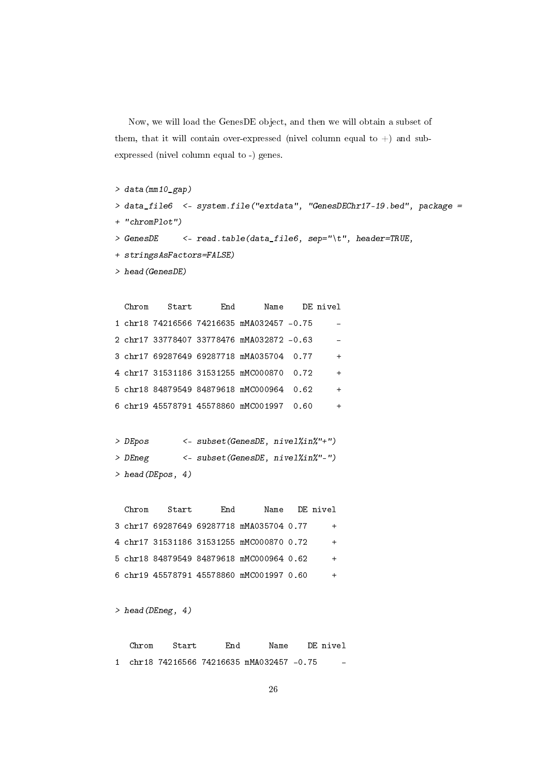Now, we will load the GenesDE object, and then we will obtain a subset of them, that it will contain over-expressed (nivel column equal to  $+)$  and subexpressed (nivel column equal to -) genes.

```
> data(mm10_gap)
```

```
> data_file6 <- system.file("extdata", "GenesDEChr17-19.bed", package =
+ "chromPlot")
> GenesDE <- read.table(data_file6, sep="\t", header=TRUE,
+ stringsAsFactors=FALSE)
> head(GenesDE)
 Chrom Start End Name DE nivel
```

```
1 chr18 74216566 74216635 mMA032457 -0.75 -
2 chr17 33778407 33778476 mMA032872 -0.63 -
3 chr17 69287649 69287718 mMA035704 0.77 +
4 chr17 31531186 31531255 mMC000870 0.72 +
5 chr18 84879549 84879618 mMC000964 0.62 +
6 chr19 45578791 45578860 mMC001997 0.60 +
```

```
> DEpos <- subset(GenesDE, nivel%in%"+")
> DEneg <- subset(GenesDE, nivel%in%"-")
> head(DEpos, 4)
```
Chrom Start End Name DE nivel 3 chr17 69287649 69287718 mMA035704 0.77 + 4 chr17 31531186 31531255 mMC000870 0.72 + 5 chr18 84879549 84879618 mMC000964 0.62 + 6 chr19 45578791 45578860 mMC001997 0.60 +

 $>$  head(DEneg, 4)

Chrom Start End Name DE nivel 1 chr18 74216566 74216635 mMA032457 -0.75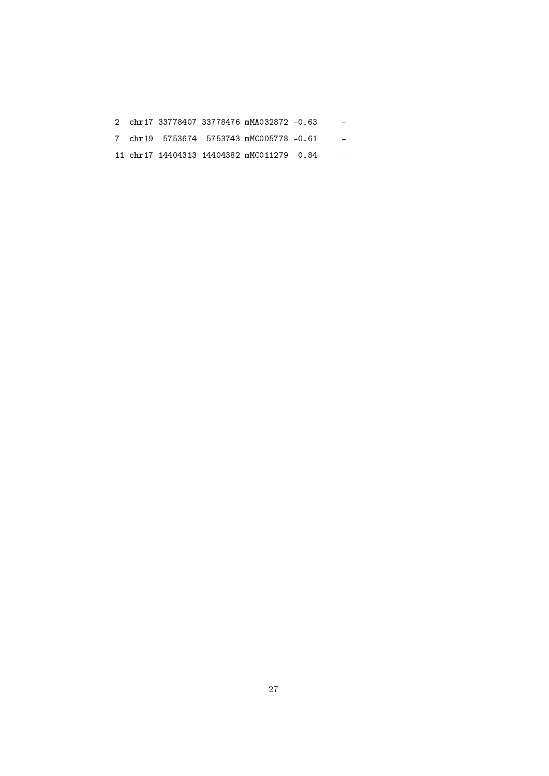|  |  | 2 chr17 33778407 33778476 mMA032872 -0.63  |  |
|--|--|--------------------------------------------|--|
|  |  | 7 chr19 5753674 5753743 mMC005778 -0.61    |  |
|  |  | 11 chr17 14404313 14404382 mMC011279 -0.84 |  |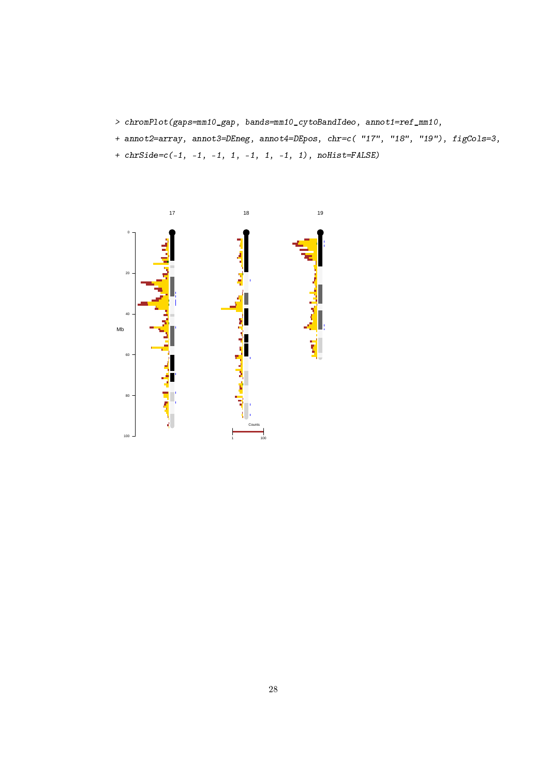- > chromPlot(gaps=mm10\_gap, bands=mm10\_cytoBandIdeo, annot1=ref\_mm10,
- + annot2=array, annot3=DEneg, annot4=DEpos, chr=c( "17", "18", "19"), figCols=3,
- +  $chrSide = c(-1, -1, -1, 1, -1, 1, -1, 1)$ ,  $noHist = FALSE)$

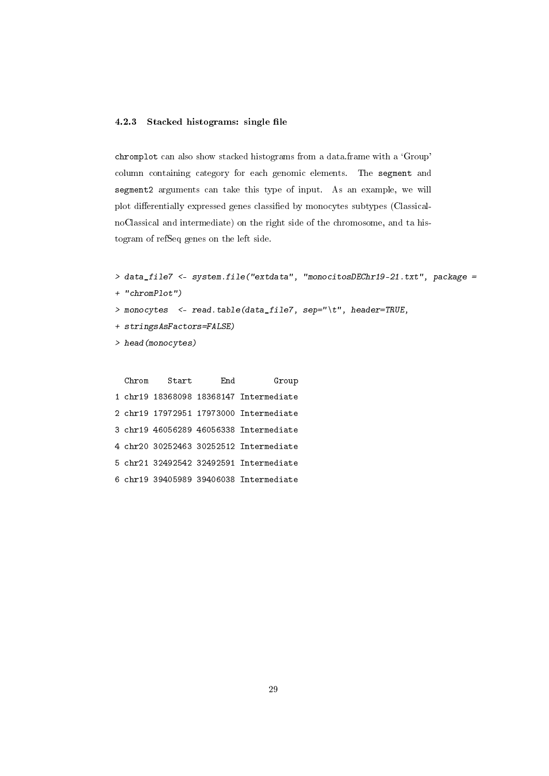### <span id="page-28-0"></span>4.2.3 Stacked histograms: single file

chromplot can also show stacked histograms from a data.frame with a 'Group' column containing category for each genomic elements. The segment and segment2 arguments can take this type of input. As an example, we will plot differentially expressed genes classified by monocytes subtypes (ClassicalnoClassical and intermediate) on the right side of the chromosome, and ta histogram of refSeq genes on the left side.

```
> data_file7 <- system.file("extdata", "monocitosDEChr19-21.txt", package =
```

```
+ "chromPlot")
```
- > monocytes <- read.table(data\_file7, sep="\t", header=TRUE,
- + stringsAsFactors=FALSE)
- > head(monocytes)

Chrom Start End Group 1 chr19 18368098 18368147 Intermediate 2 chr19 17972951 17973000 Intermediate 3 chr19 46056289 46056338 Intermediate 4 chr20 30252463 30252512 Intermediate 5 chr21 32492542 32492591 Intermediate 6 chr19 39405989 39406038 Intermediate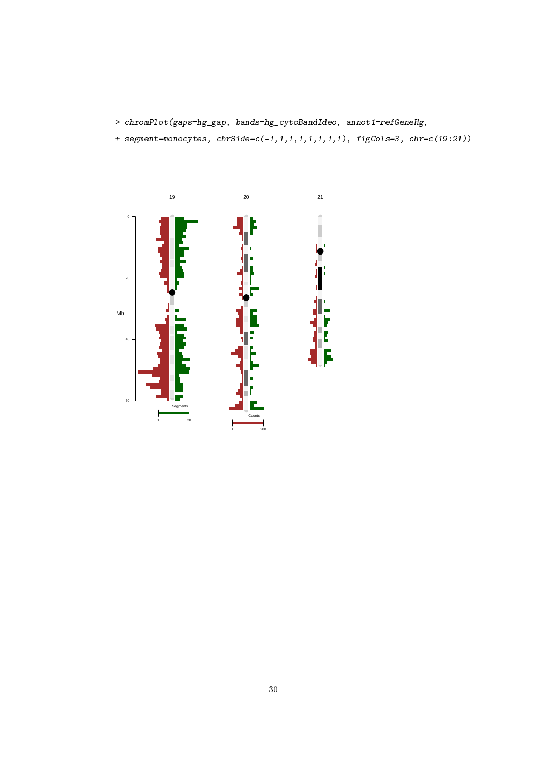- > chromPlot(gaps=hg\_gap, bands=hg\_cytoBandIdeo, annot1=refGeneHg,
- + segment=monocytes, chrSide=c(-1,1,1,1,1,1,1,1), figCols=3, chr=c(19:21))

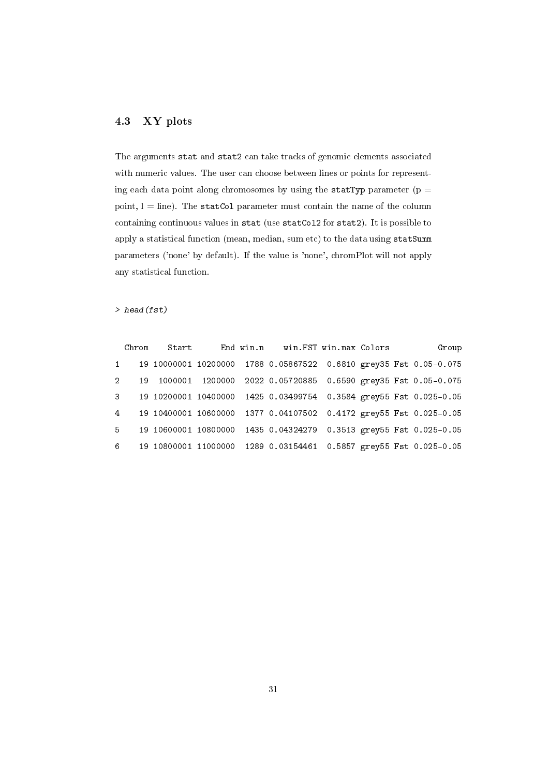# <span id="page-30-0"></span>4.3 XY plots

The arguments stat and stat2 can take tracks of genomic elements associated with numeric values. The user can choose between lines or points for representing each data point along chromosomes by using the statTyp parameter ( $p =$ point,  $l = line$ ). The statCol parameter must contain the name of the column containing continuous values in stat (use statCol2 for stat2). It is possible to apply a statistical function (mean, median, sum etc) to the data using statSumm parameters ('none' by default). If the value is 'none', chromPlot will not apply any statistical function.

#### > head(fst)

|       |              | Chrom Start |  | End win.n win.FST win.max Colors                                    |  | Group |
|-------|--------------|-------------|--|---------------------------------------------------------------------|--|-------|
|       | $1 -$        |             |  | 19 10000001 10200000 1788 0.05867522 0.6810 grey35 Fst 0.05-0.075   |  |       |
|       | $2^{\circ}$  |             |  | 19 1000001 1200000 2022 0.05720885 0.6590 grey35 Fst 0.05-0.075     |  |       |
|       | $\mathbf{3}$ |             |  | 19 10200001 10400000 1425 0.03499754 0.3584 grey55 Fst 0.025-0.05   |  |       |
|       |              |             |  | 4 19 10400001 10600000 1377 0.04107502 0.4172 grey55 Fst 0.025-0.05 |  |       |
| $5 -$ |              |             |  | 19 10600001 10800000 1435 0.04324279 0.3513 grey55 Fst 0.025-0.05   |  |       |
|       | $6 \qquad$   |             |  | 19 10800001 11000000 1289 0.03154461 0.5857 grey55 Fst 0.025-0.05   |  |       |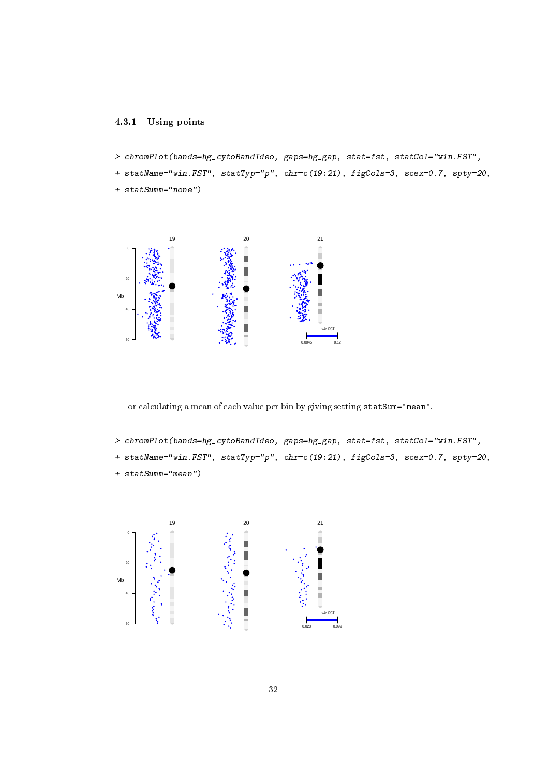# <span id="page-31-0"></span>4.3.1 Using points

- > chromPlot(bands=hg\_cytoBandIdeo, gaps=hg\_gap, stat=fst, statCol="win.FST",
- + statName="win.FST", statTyp="p", chr=c(19:21), figCols=3, scex=0.7, spty=20,
- + statSumm="none")



or calculating a mean of each value per bin by giving setting statSum="mean".

- > chromPlot(bands=hg\_cytoBandIdeo, gaps=hg\_gap, stat=fst, statCol="win.FST",
- + statName="win.FST", statTyp="p", chr=c(19:21), figCols=3, scex=0.7, spty=20,
- + statSumm="mean")

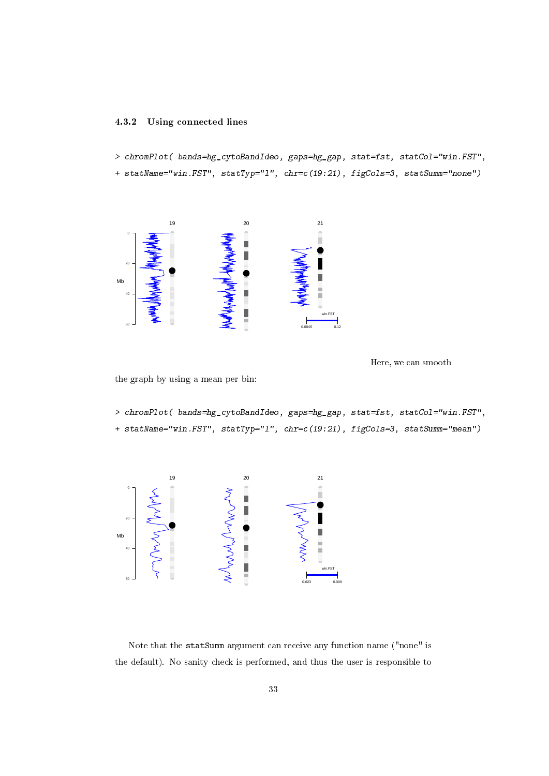### <span id="page-32-0"></span>4.3.2 Using connected lines

> chromPlot( bands=hg\_cytoBandIdeo, gaps=hg\_gap, stat=fst, statCol="win.FST",

+ statName="win.FST", statTyp="l", chr=c(19:21), figCols=3, statSumm="none")



Here, we can smooth

the graph by using a mean per bin:

> chromPlot( bands=hg\_cytoBandIdeo, gaps=hg\_gap, stat=fst, statCol="win.FST", + statName="win.FST", statTyp="l", chr=c(19:21), figCols=3, statSumm="mean")



Note that the statSumm argument can receive any function name ("none" is the default). No sanity check is performed, and thus the user is responsible to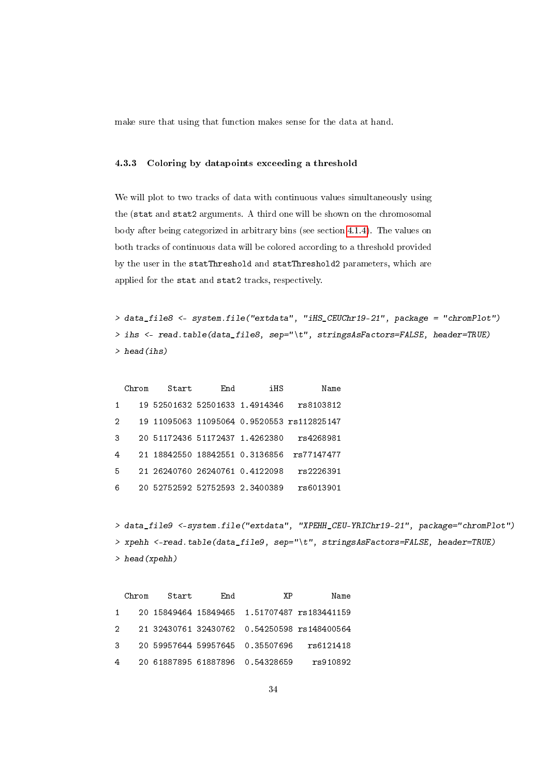make sure that using that function makes sense for the data at hand.

### <span id="page-33-0"></span>4.3.3 Coloring by datapoints exceeding a threshold

We will plot to two tracks of data with continuous values simultaneously using the (stat and stat2 arguments. A third one will be shown on the chromosomal body after being categorized in arbitrary bins (see section [4.1.4\)](#page-17-0). The values on both tracks of continuous data will be colored according to a threshold provided by the user in the statThreshold and statThreshold2 parameters, which are applied for the stat and stat2 tracks, respectively.

```
> data_file8 <- system.file("extdata", "iHS_CEUChr19-21", package = "chromPlot")
> ihs <- read.table(data_file8, sep="\t", stringsAsFactors=FALSE, header=TRUE)
> head(ihs)
```

|   | Chrom | Start | End | iHS                            | Name                                       |
|---|-------|-------|-----|--------------------------------|--------------------------------------------|
| 1 |       |       |     | 19 52501632 52501633 1.4914346 | rs8103812                                  |
| 2 |       |       |     |                                | 19 11095063 11095064 0.9520553 rs112825147 |
| 3 |       |       |     | 20 51172436 51172437 1.4262380 | rs4268981                                  |
| 4 | 21.   |       |     | 18842550 18842551 0.3136856    | rs77147477                                 |
| 5 |       |       |     | 21 26240760 26240761 0.4122098 | rs2226391                                  |
| 6 |       |       |     | 20 52752592 52752593 2.3400389 | rs6013901                                  |

```
> data_file9 <-system.file("extdata", "XPEHH_CEU-YRIChr19-21", package="chromPlot")
> xpehh <-read.table(data_file9, sep="\t", stringsAsFactors=FALSE, header=TRUE)
> head(xpehh)
```

|   | Chrom Start | End | χP                                | Name                                          |
|---|-------------|-----|-----------------------------------|-----------------------------------------------|
|   |             |     |                                   | 1 20 15849464 15849465 1.51707487 rs183441159 |
|   |             |     |                                   | 2 21 32430761 32430762 0.54250598 rs148400564 |
|   |             |     | 3 20 59957644 59957645 0.35507696 | rs6121418                                     |
| 4 |             |     | 20 61887895 61887896 0.54328659   | rs910892                                      |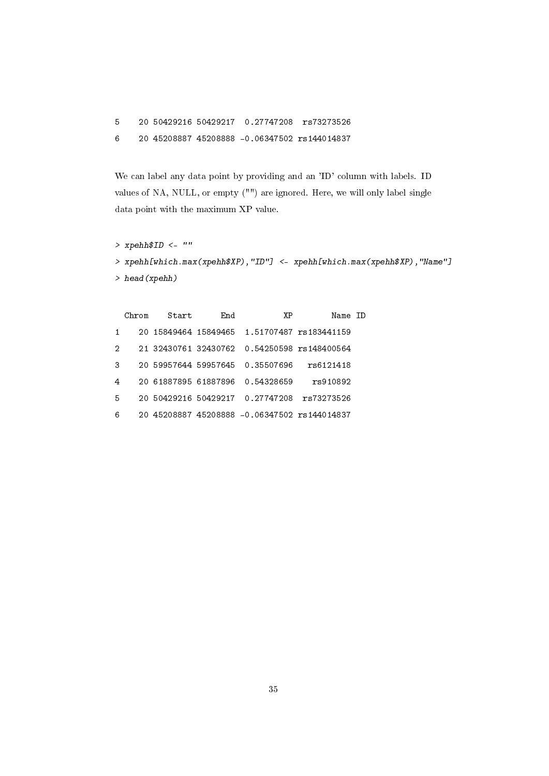5 20 50429216 50429217 0.27747208 rs73273526

6 20 45208887 45208888 -0.06347502 rs144014837

We can label any data point by providing and an 'ID' column with labels. ID values of NA, NULL, or empty ("") are ignored. Here, we will only label single data point with the maximum XP value.

```
> xpehh$ID <- ""
> xpehh[which.max(xpehh$XP),"ID"] <- xpehh[which.max(xpehh$XP),"Name"]
> head(xpehh)
```

| Chrom | Start | End | ΧP | Name ID                                                                                               |                                                                                                                                            |
|-------|-------|-----|----|-------------------------------------------------------------------------------------------------------|--------------------------------------------------------------------------------------------------------------------------------------------|
|       |       |     |    |                                                                                                       |                                                                                                                                            |
|       |       |     |    |                                                                                                       |                                                                                                                                            |
|       |       |     |    | rs6121418                                                                                             |                                                                                                                                            |
|       |       |     |    | rs910892                                                                                              |                                                                                                                                            |
|       |       |     |    | rs73273526                                                                                            |                                                                                                                                            |
|       |       |     |    |                                                                                                       |                                                                                                                                            |
|       |       |     |    | 20 59957644 59957645 0.35507696<br>20 61887895 61887896 0.54328659<br>20 50429216 50429217 0.27747208 | 20 15849464 15849465 1.51707487 rs183441159<br>21 32430761 32430762 0.54250598 rs148400564<br>20 45208887 45208888 -0.06347502 rs144014837 |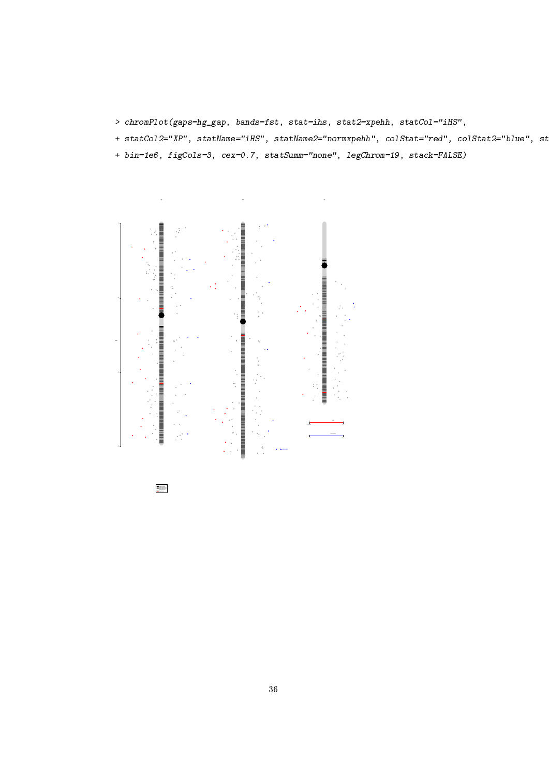- > chromPlot(gaps=hg\_gap, bands=fst, stat=ihs, stat2=xpehh, statCol="iHS",
- + statCol2="XP", statName="iHS", statName2="normxpehh", colStat="red", colStat2="blue", st
- + bin=1e6, figCols=3, cex=0.7, statSumm="none", legChrom=19, stack=FALSE)



Fst 0.025<br>Fst 0.025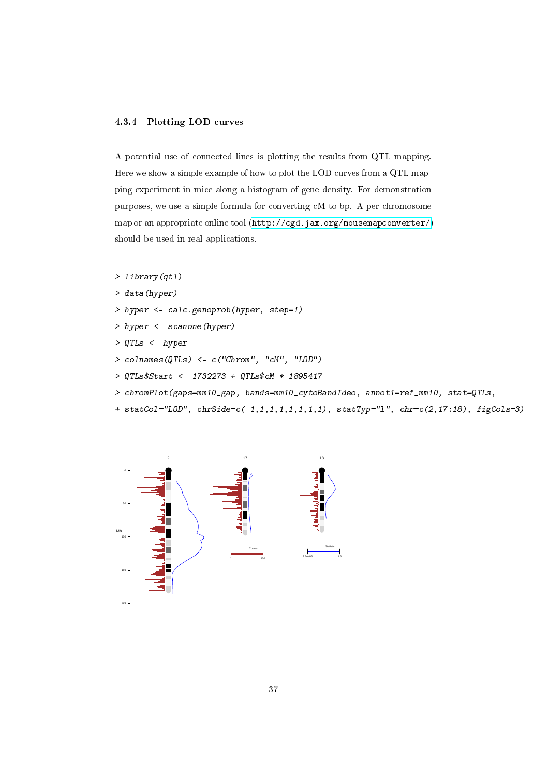#### <span id="page-36-0"></span>4.3.4 Plotting LOD curves

A potential use of connected lines is plotting the results from QTL mapping. Here we show a simple example of how to plot the LOD curves from a QTL mapping experiment in mice along a histogram of gene density. For demonstration purposes, we use a simple formula for converting cM to bp. A per-chromosome map or an appropriate online tool [\(http://cgd.jax.org/mousemapconverter/\)](http://cgd.jax.org/mousemapconverter/) should be used in real applications.

```
> library(qtl)
```
- > data(hyper)
- > hyper <- calc.genoprob(hyper, step=1)
- > hyper <- scanone(hyper)
- > QTLs <- hyper
- > colnames(QTLs) <- c("Chrom", "cM", "LOD")
- > QTLs\$Start <- 1732273 + QTLs\$cM \* 1895417
- > chromPlot(gaps=mm10\_gap, bands=mm10\_cytoBandIdeo, annot1=ref\_mm10, stat=QTLs,
- + statCol="LOD", chrSide=c(-1,1,1,1,1,1,1,1), statTyp="l", chr=c(2,17:18), figCols=3)

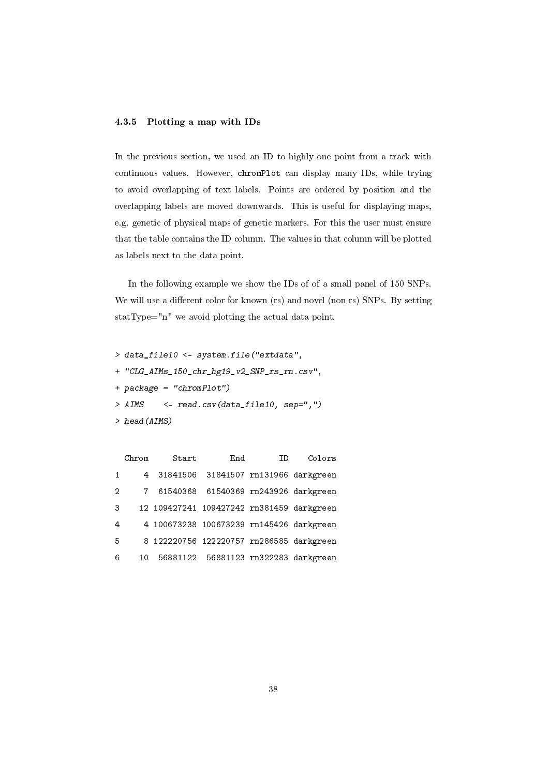## <span id="page-37-0"></span>4.3.5 Plotting a map with IDs

In the previous section, we used an ID to highly one point from a track with continuous values. However, chromPlot can display many IDs, while trying to avoid overlapping of text labels. Points are ordered by position and the overlapping labels are moved downwards. This is useful for displaying maps, e.g. genetic of physical maps of genetic markers. For this the user must ensure that the table contains the ID column. The values in that column will be plotted as labels next to the data point.

In the following example we show the IDs of of a small panel of 150 SNPs. We will use a different color for known (rs) and novel (non rs) SNPs. By setting statType="n" we avoid plotting the actual data point.

> data\_file10 <- system.file("extdata", + "CLG\_AIMs\_150\_chr\_hg19\_v2\_SNP\_rs\_rn.csv", + package = "chromPlot") > AIMS <- read.csv(data\_file10, sep=",") > head(AIMS)

|                | Chrom | Start | End                                       | TD. | Colors |
|----------------|-------|-------|-------------------------------------------|-----|--------|
| $\mathbf{1}$   | 4     |       | 31841506 31841507 rn131966 darkgreen      |     |        |
| 2              |       |       | 7 61540368 61540369 rn243926 darkgreen    |     |        |
| 3              |       |       | 12 109427241 109427242 rn381459 darkgreen |     |        |
| $\overline{4}$ |       |       | 4 100673238 100673239 rn145426 darkgreen  |     |        |
| -5             |       |       | 8 122220756 122220757 rn286585 darkgreen  |     |        |
| 6              | 10    |       | 56881122 56881123 rn322283 darkgreen      |     |        |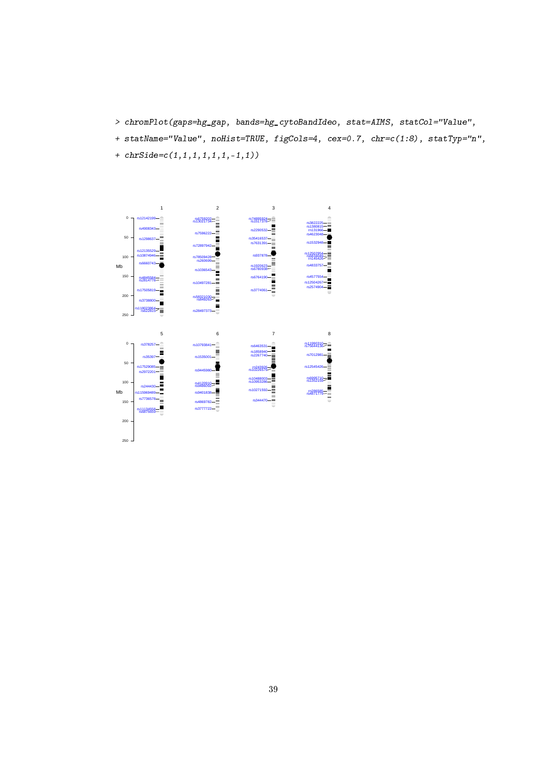- > chromPlot(gaps=hg\_gap, bands=hg\_cytoBandIdeo, stat=AIMS, statCol="Value",
- + statName="Value", noHist=TRUE, figCols=4, cex=0.7, chr=c(1:8), statTyp="n",
- + chrSide=c(1,1,1,1,1,1,-1,1))

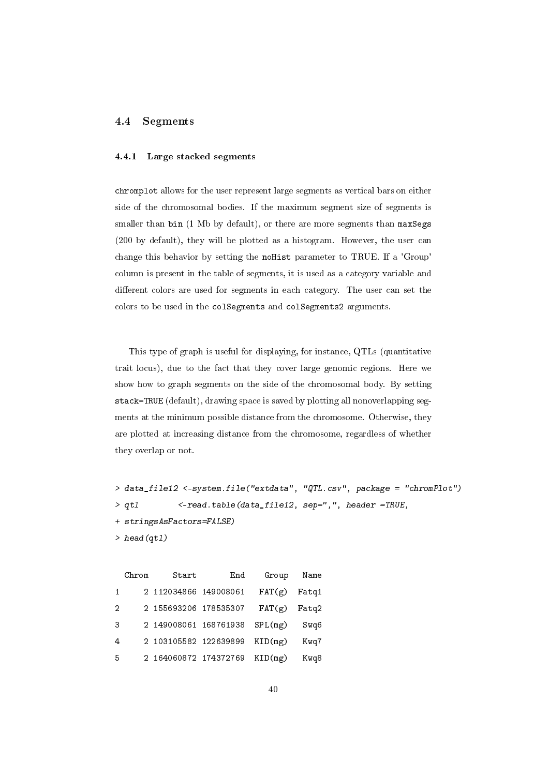#### <span id="page-39-1"></span><span id="page-39-0"></span>4.4 Segments

### 4.4.1 Large stacked segments

chromplot allows for the user represent large segments as vertical bars on either side of the chromosomal bodies. If the maximum segment size of segments is smaller than bin (1 Mb by default), or there are more segments than maxSegs (200 by default), they will be plotted as a histogram. However, the user can change this behavior by setting the noHist parameter to TRUE. If a 'Group' column is present in the table of segments, it is used as a category variable and different colors are used for segments in each category. The user can set the colors to be used in the colSegments and colSegments2 arguments.

This type of graph is useful for displaying, for instance, QTLs (quantitative trait locus), due to the fact that they cover large genomic regions. Here we show how to graph segments on the side of the chromosomal body. By setting stack=TRUE (default), drawing space is saved by plotting all nonoverlapping segments at the minimum possible distance from the chromosome. Otherwise, they are plotted at increasing distance from the chromosome, regardless of whether they overlap or not.

```
> data_file12 <-system.file("extdata", "QTL.csv", package = "chromPlot")
> qtl <-read.table(data_file12, sep=",", header =TRUE,
+ stringsAsFactors=FALSE)
> head(qtl)
```

| Name  | Group   | End | Start                 | Chrom |    |
|-------|---------|-----|-----------------------|-------|----|
| Fatg1 | FAT(g)  |     | 2 112034866 149008061 |       | 1  |
| Fatg2 | FAT(g)  |     | 2 155693206 178535307 |       | 2  |
| Swq6  | SPL(mg) |     | 2 149008061 168761938 |       | 3  |
| Kwq7  | KID(mg) |     | 2 103105582 122639899 |       | 4  |
| Kwq8  | KID(mg) |     | 2 164060872 174372769 |       | -5 |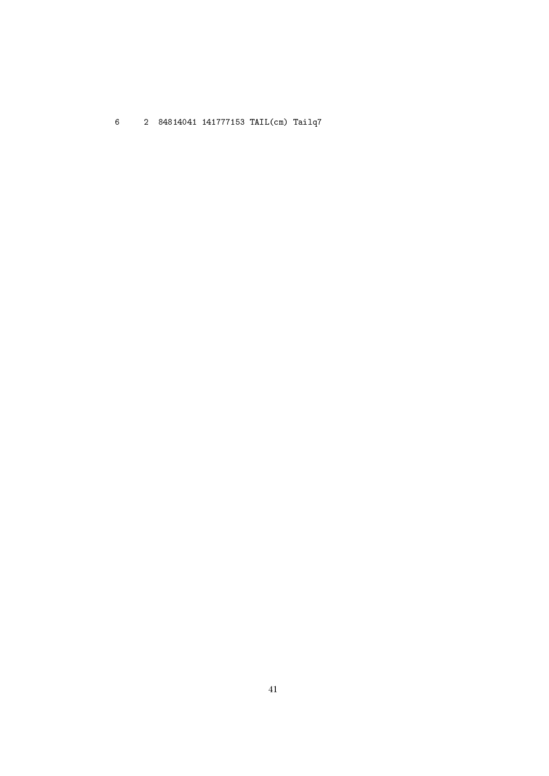6 2 84814041 141777153 TAIL(cm) Tailq7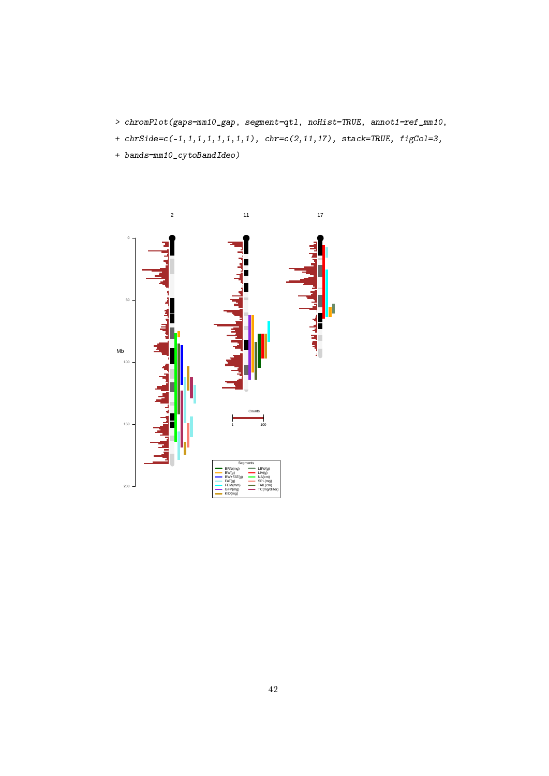- > chromPlot(gaps=mm10\_gap, segment=qtl, noHist=TRUE, annot1=ref\_mm10,
- +  $chrSide = c(-1, 1, 1, 1, 1, 1, 1, 1)$ ,  $chr = c(2, 11, 17)$ ,  $stack = TRUE$ ,  $figCo1=3$ ,
- + bands=mm10\_cytoBandIdeo)

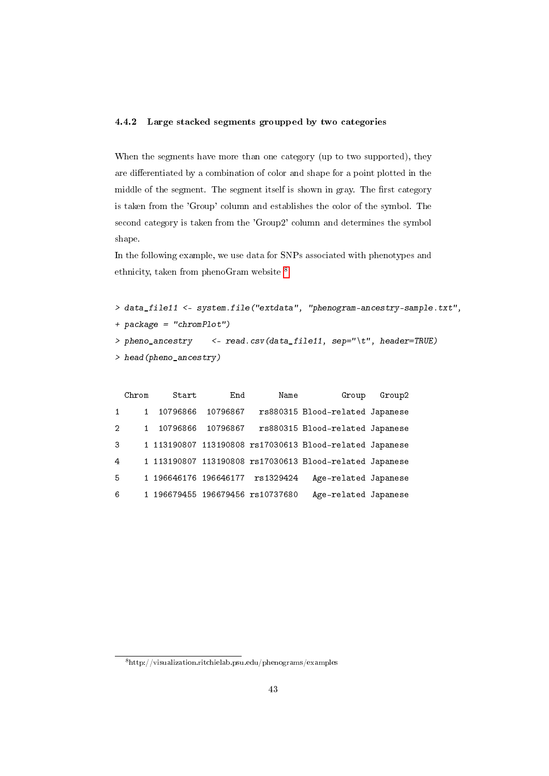## <span id="page-42-0"></span>4.4.2 Large stacked segments groupped by two categories

When the segments have more than one category (up to two supported), they are differentiated by a combination of color and shape for a point plotted in the middle of the segment. The segment itself is shown in gray. The first category is taken from the 'Group' column and establishes the color of the symbol. The second category is taken from the 'Group2' column and determines the symbol shape.

In the following example, we use data for SNPs associated with phenotypes and ethnicity, taken from phenoGram website <sup>[8](#page-42-1)</sup>.

```
> data_file11 <- system.file("extdata", "phenogram-ancestry-sample.txt",
+ package = "chromPlot")
> pheno_ancestry <- read.csv(data_file11, sep="\t", header=TRUE)
> head(pheno_ancestry)
```

| Group2 | Group                                                   | Name                           | End      | Start                 | Chrom |                |
|--------|---------------------------------------------------------|--------------------------------|----------|-----------------------|-------|----------------|
|        | rs880315 Blood-related Japanese                         |                                | 10796867 | 10796866              |       | $\mathbf{1}$   |
|        | rs880315 Blood-related Japanese                         |                                | 10796867 | 10796866              |       | $\overline{2}$ |
|        | 1 113190807 113190808 rs17030613 Blood-related Japanese |                                |          |                       |       | 3              |
|        | 1 113190807 113190808 rs17030613 Blood-related Japanese |                                |          |                       |       | $\overline{4}$ |
|        | Age-related Japanese                                    | rs1329424                      |          | 1 196646176 196646177 |       | -5.            |
|        | Age-related Japanese                                    | 196679455 196679456 rs10737680 |          |                       |       | 6              |

<span id="page-42-1"></span> $8$ http://visualization.ritchielab.psu.edu/phenograms/examples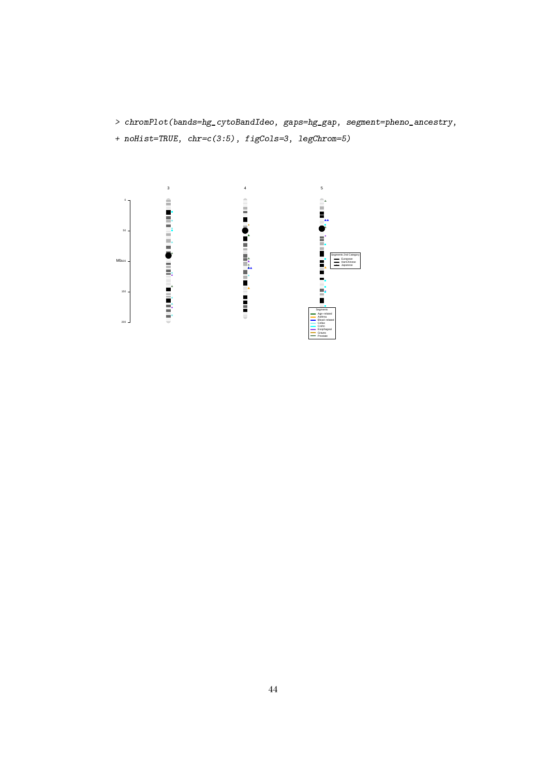> chromPlot(bands=hg\_cytoBandIdeo, gaps=hg\_gap, segment=pheno\_ancestry,

+ noHist=TRUE, chr=c(3:5), figCols=3, legChrom=5)

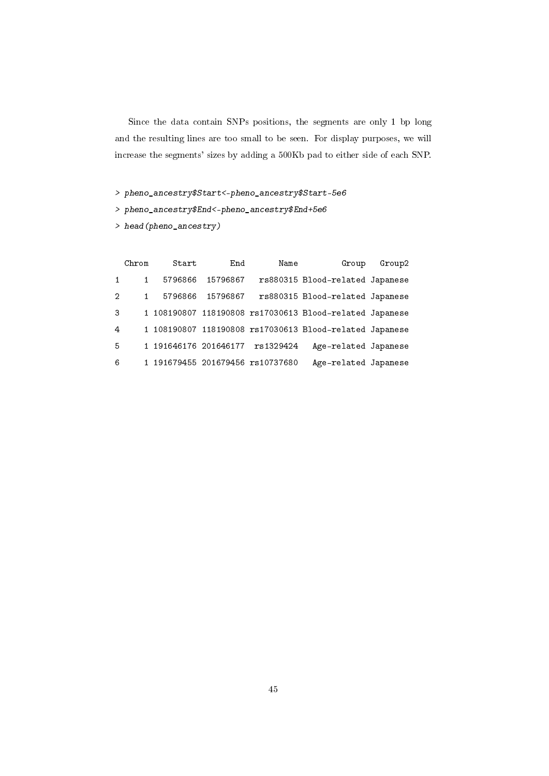Since the data contain SNPs positions, the segments are only 1 bp long and the resulting lines are too small to be seen. For display purposes, we will increase the segments' sizes by adding a 500Kb pad to either side of each SNP.

> pheno\_ancestry\$Start<-pheno\_ancestry\$Start-5e6

> pheno\_ancestry\$End<-pheno\_ancestry\$End+5e6

> head(pheno\_ancestry)

|                | Chrom | Start                 | End      | Name                             | Group                                                   | Group2 |
|----------------|-------|-----------------------|----------|----------------------------------|---------------------------------------------------------|--------|
| $\mathbf{1}$   |       | 5796866               | 15796867 |                                  | rs880315 Blood-related Japanese                         |        |
| $\overline{2}$ |       | 5796866               | 15796867 |                                  | rs880315 Blood-related Japanese                         |        |
| 3              |       |                       |          |                                  | 1 108190807 118190808 rs17030613 Blood-related Japanese |        |
| $\overline{4}$ |       |                       |          |                                  | 1 108190807 118190808 rs17030613 Blood-related Japanese |        |
| 5              |       | 1 191646176 201646177 |          | rs1329424                        | Age-related Japanese                                    |        |
| 6              |       |                       |          | 1 191679455 201679456 rs10737680 | Age-related Japanese                                    |        |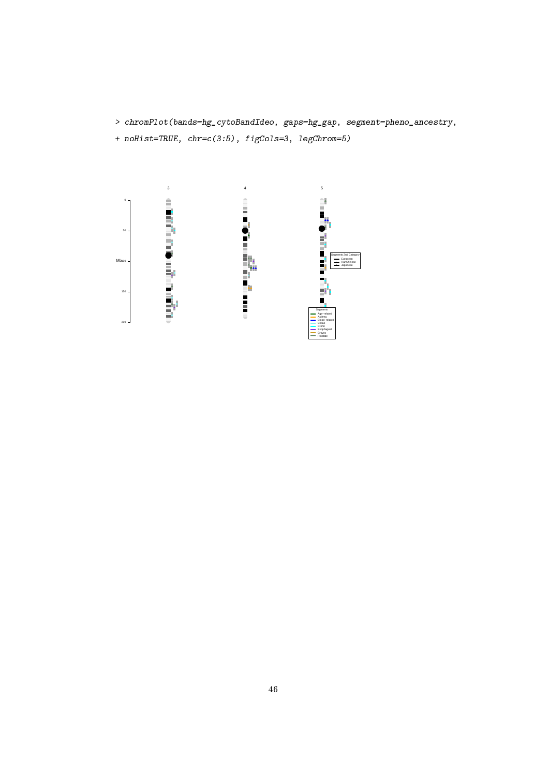> chromPlot(bands=hg\_cytoBandIdeo, gaps=hg\_gap, segment=pheno\_ancestry,

+ noHist=TRUE, chr=c(3:5), figCols=3, legChrom=5)

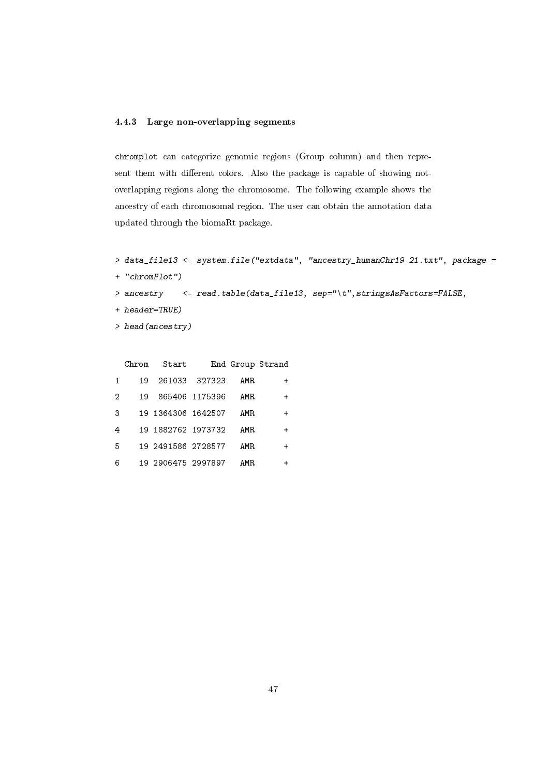## <span id="page-46-0"></span>4.4.3 Large non-overlapping segments

chromplot can categorize genomic regions (Group column) and then represent them with different colors. Also the package is capable of showing notoverlapping regions along the chromosome. The following example shows the ancestry of each chromosomal region. The user can obtain the annotation data updated through the biomaRt package.

```
> data_file13 <- system.file("extdata", "ancestry_humanChr19-21.txt", package =
```

```
+ "chromPlot")
```
> ancestry <- read.table(data\_file13, sep="\t", stringsAsFactors=FALSE,

- + header=TRUE)
- > head(ancestry)

| End Group Strand |      |                | Start              | Chrom |   |
|------------------|------|----------------|--------------------|-------|---|
| $\div$           | AMR. | 261033 327323  |                    | 19    |   |
| $\div$           | AMR  | 865406 1175396 |                    | 19    | 2 |
| $\div$           | AMR. |                | 19 1364306 1642507 |       | 3 |
| $\div$           | AMR. |                | 19 1882762 1973732 |       | 4 |
| $\div$           | AMR. |                | 19 2491586 2728577 |       | 5 |
|                  | AMR. |                | 19 2906475 2997897 |       | 6 |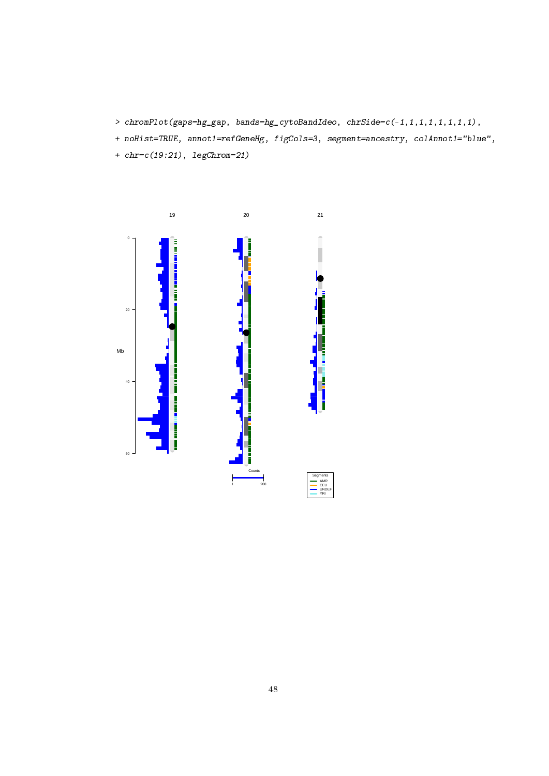- > chromPlot(gaps=hg\_gap, bands=hg\_cytoBandIdeo, chrSide=c(-1,1,1,1,1,1,1,1),
- + noHist=TRUE, annot1=refGeneHg, figCols=3, segment=ancestry, colAnnot1="blue",
- + chr=c(19:21), legChrom=21)

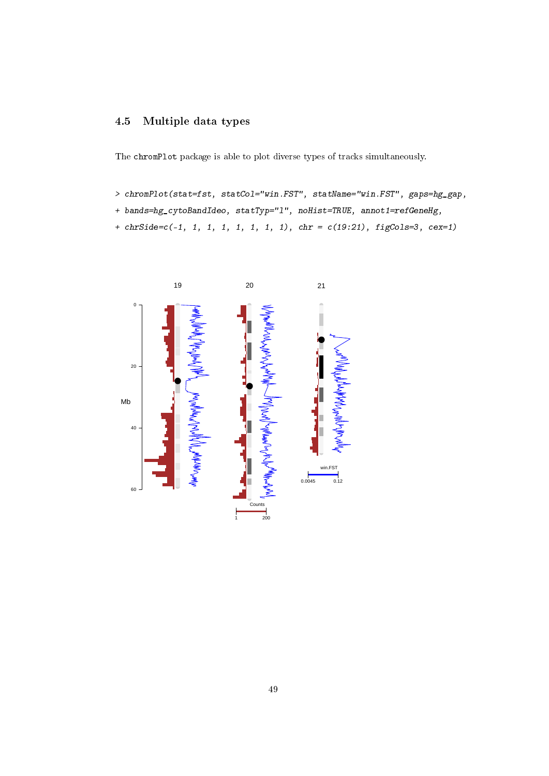# <span id="page-48-0"></span>4.5 Multiple data types

The chromPlot package is able to plot diverse types of tracks simultaneously.

- > chromPlot(stat=fst, statCol="win.FST", statName="win.FST", gaps=hg\_gap,
- + bands=hg\_cytoBandIdeo, statTyp="1", noHist=TRUE, annot1=refGeneHg,
- + chrSide=c(-1, 1, 1, 1, 1, 1, 1, 1), chr = c(19:21), figCols=3, cex=1)

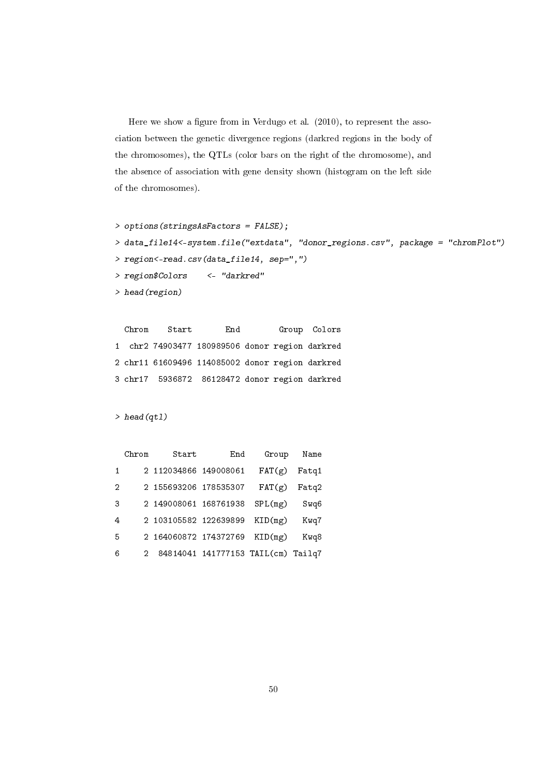Here we show a figure from in Verdugo et al.  $(2010)$ , to represent the association between the genetic divergence regions (darkred regions in the body of the chromosomes), the QTLs (color bars on the right of the chromosome), and the absence of association with gene density shown (histogram on the left side of the chromosomes).

```
> options(stringsAsFactors = FALSE);
> data_file14<-system.file("extdata", "donor_regions.csv", package = "chromPlot")
> region<-read.csv(data_file14, sep=",")
> region$Colors <- "darkred"
> head(region)
```
Chrom Start End Group Colors 1 chr2 74903477 180989506 donor region darkred 2 chr11 61609496 114085002 donor region darkred 3 chr17 5936872 86128472 donor region darkred

> head(qtl)

| Name  | Group   | End                                | Start                 | Chrom |              |
|-------|---------|------------------------------------|-----------------------|-------|--------------|
| Fatg1 | FAT(g)  |                                    | 2 112034866 149008061 |       | $\mathbf{1}$ |
| Fatg2 | FAT(g)  |                                    | 2 155693206 178535307 |       | 2            |
| Swq6  | SPL(mg) |                                    | 2 149008061 168761938 |       | 3            |
| Kwq7  | KID(mg) |                                    | 2 103105582 122639899 |       | 4            |
| Kwq8  | KID(mg) |                                    | 2 164060872 174372769 |       | 5            |
|       |         | 84814041 141777153 TAIL(cm) Tailq7 |                       | 2     | 6            |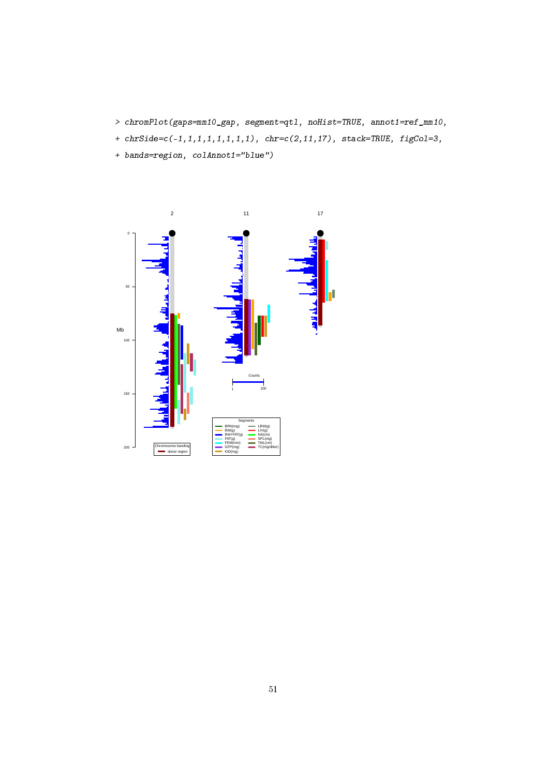- > chromPlot(gaps=mm10\_gap, segment=qtl, noHist=TRUE, annot1=ref\_mm10,
- +  $chrSide = c(-1, 1, 1, 1, 1, 1, 1, 1)$ ,  $chr = c(2, 11, 17)$ ,  $stack = TRUE$ ,  $figCo1=3$ ,
- + bands=region, colAnnot1="blue")

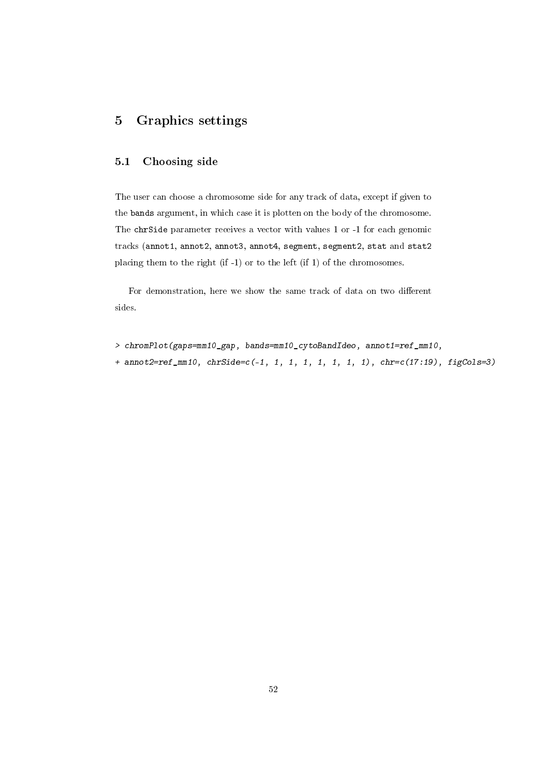# <span id="page-51-0"></span>5 Graphics settings

# <span id="page-51-1"></span>5.1 Choosing side

The user can choose a chromosome side for any track of data, except if given to the bands argument, in which case it is plotten on the body of the chromosome. The chrSide parameter receives a vector with values 1 or -1 for each genomic tracks (annot1, annot2, annot3, annot4, segment, segment2, stat and stat2 placing them to the right (if -1) or to the left (if 1) of the chromosomes.

For demonstration, here we show the same track of data on two different sides.

- > chromPlot(gaps=mm10\_gap, bands=mm10\_cytoBandIdeo, annot1=ref\_mm10,
- + annot2=ref\_mm10, chrSide=c(-1, 1, 1, 1, 1, 1, 1, 1), chr=c(17:19), figCols=3)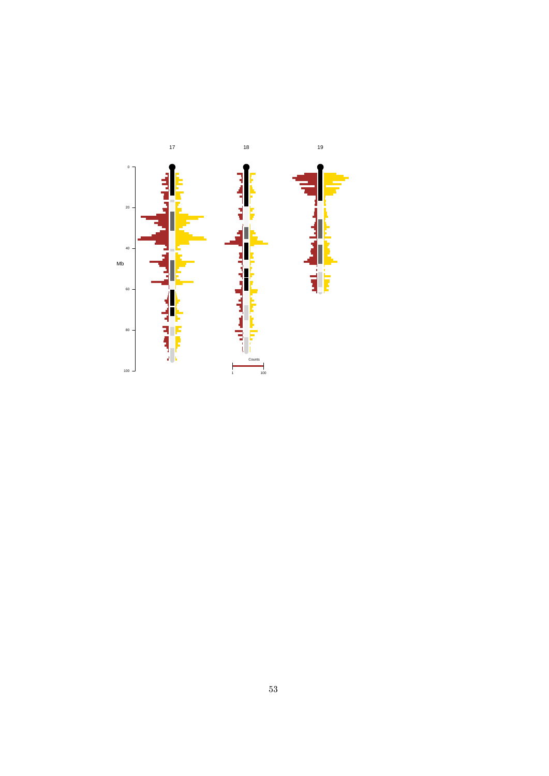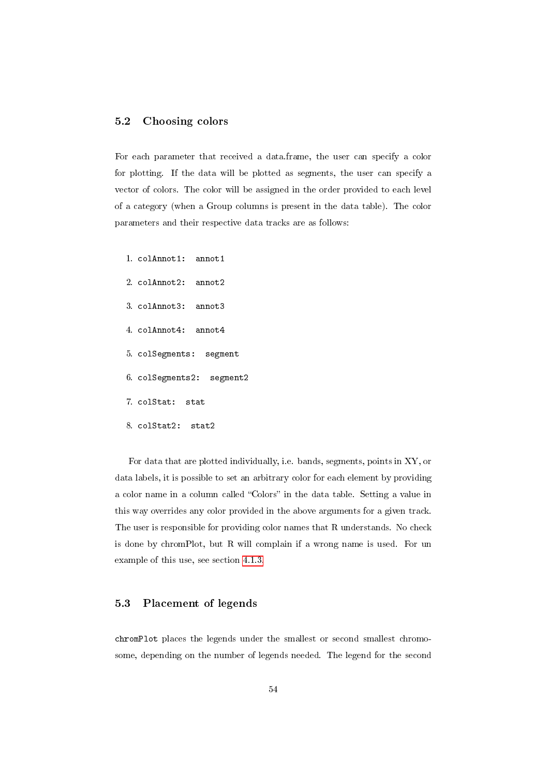### <span id="page-53-0"></span>5.2 Choosing colors

For each parameter that received a data.frame, the user can specify a color for plotting. If the data will be plotted as segments, the user can specify a vector of colors. The color will be assigned in the order provided to each level of a category (when a Group columns is present in the data table). The color parameters and their respective data tracks are as follows:

- 1. colAnnot1: annot1
- 2. colAnnot2: annot2
- 3. colAnnot3: annot3
- 4. colAnnot4: annot4
- 5. colSegments: segment
- 6. colSegments2: segment2
- 7. colStat: stat
- 8. colStat2: stat2

For data that are plotted individually, i.e. bands, segments, points in XY, or data labels, it is possible to set an arbitrary color for each element by providing a color name in a column called "Colors" in the data table. Setting a value in this way overrides any color provided in the above arguments for a given track. The user is responsible for providing color names that R understands. No check is done by chromPlot, but R will complain if a wrong name is used. For un example of this use, see section [4.1.3.](#page-14-0)

# <span id="page-53-1"></span>5.3 Placement of legends

chromPlot places the legends under the smallest or second smallest chromosome, depending on the number of legends needed. The legend for the second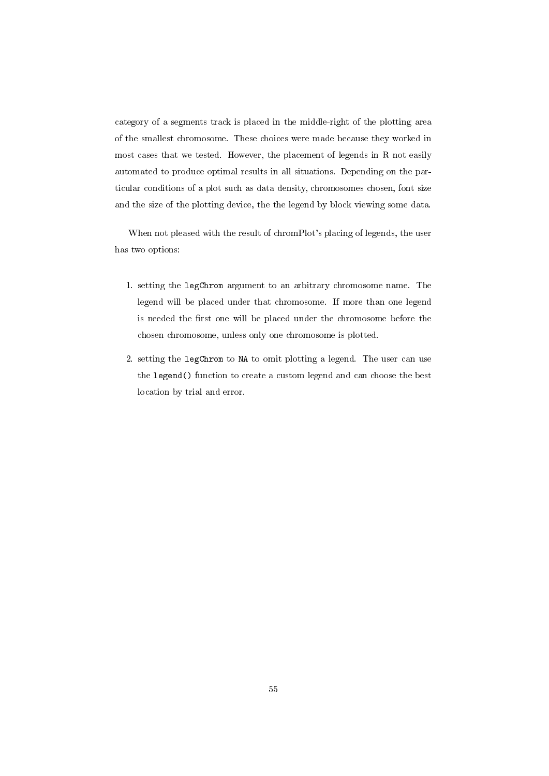category of a segments track is placed in the middle-right of the plotting area of the smallest chromosome. These choices were made because they worked in most cases that we tested. However, the placement of legends in R not easily automated to produce optimal results in all situations. Depending on the particular conditions of a plot such as data density, chromosomes chosen, font size and the size of the plotting device, the the legend by block viewing some data.

When not pleased with the result of chromPlot's placing of legends, the user has two options:

- 1. setting the legChrom argument to an arbitrary chromosome name. The legend will be placed under that chromosome. If more than one legend is needed the first one will be placed under the chromosome before the chosen chromosome, unless only one chromosome is plotted.
- 2. setting the legChrom to NA to omit plotting a legend. The user can use the legend() function to create a custom legend and can choose the best location by trial and error.